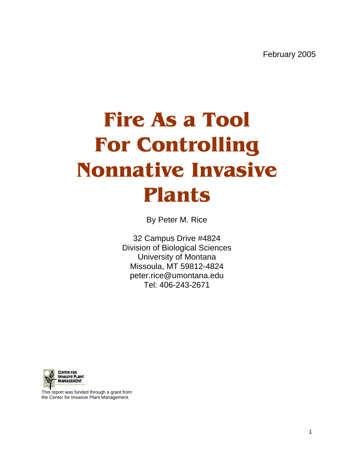# **Fire As a Tool For Controlling Nonnative Invasive Plants**

By Peter M. Rice

32 Campus Drive #4824 Division of Biological Sciences University of Montana Missoula, MT 59812-4824 peter.rice@umontana.edu Tel: 406-243-2671



This report was funded through a grant from the Center for Invasive Plant Management.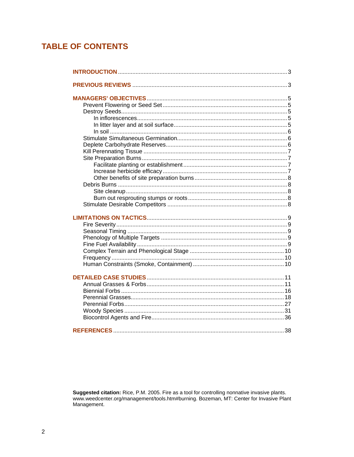# **TABLE OF CONTENTS**

Suggested citation: Rice, P.M. 2005. Fire as a tool for controlling nonnative invasive plants.<br>www.weedcenter.org/management/tools.htm#burning. Bozeman, MT: Center for Invasive Plant Management.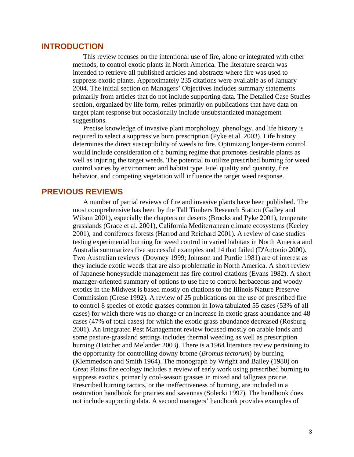# <span id="page-2-0"></span>**INTRODUCTION**

This review focuses on the intentional use of fire, alone or integrated with other methods, to control exotic plants in North America. The literature search was intended to retrieve all published articles and abstracts where fire was used to suppress exotic plants. Approximately 235 citations were available as of January 2004. The initial section on Managers' Objectives includes summary statements primarily from articles that do not include supporting data. The Detailed Case Studies section, organized by life form, relies primarily on publications that have data on target plant response but occasionally include unsubstantiated management suggestions.

Precise knowledge of invasive plant morphology, phenology, and life history is required to select a suppressive burn prescription (Pyke et al. 2003). Life history determines the direct susceptibility of weeds to fire. Optimizing longer-term control would include consideration of a burning regime that promotes desirable plants as well as injuring the target weeds. The potential to utilize prescribed burning for weed control varies by environment and habitat type. Fuel quality and quantity, fire behavior, and competing vegetation will influence the target weed response.

# **PREVIOUS REVIEWS**

A number of partial reviews of fire and invasive plants have been published. The most comprehensive has been by the Tall Timbers Research Station (Galley and Wilson 2001), especially the chapters on deserts (Brooks and Pyke 2001), temperate grasslands (Grace et al. 2001), California Mediterranean climate ecosystems (Keeley 2001), and coniferous forests (Harrod and Reichard 2001). A review of case studies testing experimental burning for weed control in varied habitats in North America and Australia summarizes five successful examples and 14 that failed (D'Antonio 2000). Two Australian reviews (Downey 1999; Johnson and Purdie 1981) are of interest as they include exotic weeds that are also problematic in North America. A short review of Japanese honeysuckle management has fire control citations (Evans 1982). A short manager-oriented summary of options to use fire to control herbaceous and woody exotics in the Midwest is based mostly on citations to the Illinois Nature Preserve Commission (Grese 1992). A review of 25 publications on the use of prescribed fire to control 8 species of exotic grasses common in Iowa tabulated 55 cases (53% of all cases) for which there was no change or an increase in exotic grass abundance and 48 cases (47% of total cases) for which the exotic grass abundance decreased (Rosburg 2001). An Integrated Pest Management review focused mostly on arable lands and some pasture-grassland settings includes thermal weeding as well as prescription burning (Hatcher and Melander 2003). There is a 1964 literature review pertaining to the opportunity for controlling downy brome (*Bromus tectorum*) by burning (Klemmedson and Smith 1964). The monograph by Wright and Bailey (1980) on Great Plains fire ecology includes a review of early work using prescribed burning to suppress exotics, primarily cool-season grasses in mixed and tallgrass prairie. Prescribed burning tactics, or the ineffectiveness of burning, are included in a restoration handbook for prairies and savannas (Solecki 1997). The handbook does not include supporting data. A second managers' handbook provides examples of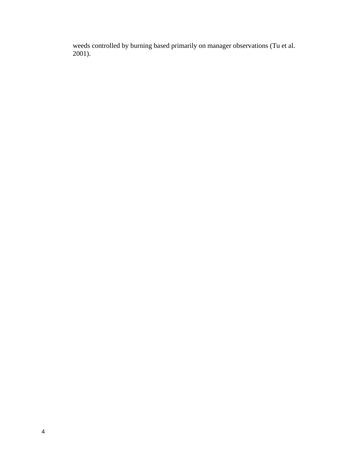weeds controlled by burning based primarily on manager observations (Tu et al. 2001).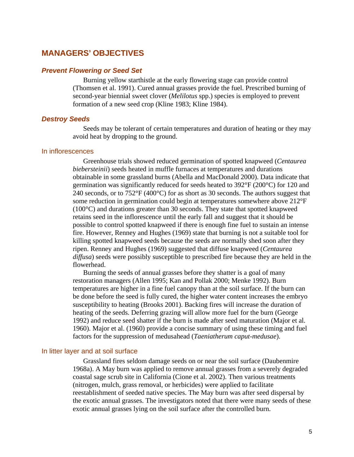# <span id="page-4-0"></span>**MANAGERS' OBJECTIVES**

# *Prevent Flowering or Seed Set*

Burning yellow starthistle at the early flowering stage can provide control (Thomsen et al. 1991). Cured annual grasses provide the fuel. Prescribed burning of second-year biennial sweet clover (*Melilotus* spp.) species is employed to prevent formation of a new seed crop (Kline 1983; Kline 1984).

#### *Destroy Seeds*

Seeds may be tolerant of certain temperatures and duration of heating or they may avoid heat by dropping to the ground.

#### In inflorescences

Greenhouse trials showed reduced germination of spotted knapweed (*Centaurea biebersteinii*) seeds heated in muffle furnaces at temperatures and durations obtainable in some grassland burns (Abella and MacDonald 2000). Data indicate that germination was significantly reduced for seeds heated to 392°F (200°C) for 120 and 240 seconds, or to 752°F (400°C) for as short as 30 seconds. The authors suggest that some reduction in germination could begin at temperatures somewhere above 212°F (100°C) and durations greater than 30 seconds. They state that spotted knapweed retains seed in the inflorescence until the early fall and suggest that it should be possible to control spotted knapweed if there is enough fine fuel to sustain an intense fire. However, Renney and Hughes (1969) state that burning is not a suitable tool for killing spotted knapweed seeds because the seeds are normally shed soon after they ripen. Renney and Hughes (1969) suggested that diffuse knapweed (*Centaurea diffusa*) seeds were possibly susceptible to prescribed fire because they are held in the flowerhead.

Burning the seeds of annual grasses before they shatter is a goal of many restoration managers (Allen 1995; Kan and Pollak 2000; Menke 1992). Burn temperatures are higher in a fine fuel canopy than at the soil surface. If the burn can be done before the seed is fully cured, the higher water content increases the embryo susceptibility to heating (Brooks 2001). Backing fires will increase the duration of heating of the seeds. Deferring grazing will allow more fuel for the burn (George 1992) and reduce seed shatter if the burn is made after seed maturation (Major et al. 1960). Major et al. (1960) provide a concise summary of using these timing and fuel factors for the suppression of medusahead (*Taeniatherum caput-medusae*).

#### In litter layer and at soil surface

Grassland fires seldom damage seeds on or near the soil surface (Daubenmire 1968a). A May burn was applied to remove annual grasses from a severely degraded coastal sage scrub site in California (Cione et al. 2002). Then various treatments (nitrogen, mulch, grass removal, or herbicides) were applied to facilitate reestablishment of seeded native species. The May burn was after seed dispersal by the exotic annual grasses. The investigators noted that there were many seeds of these exotic annual grasses lying on the soil surface after the controlled burn.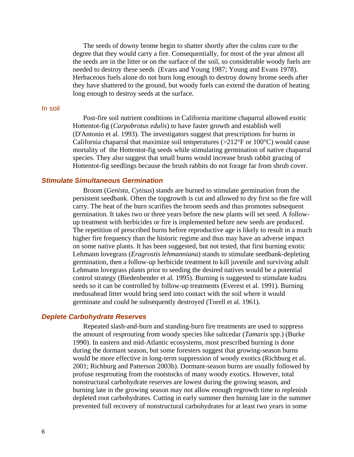<span id="page-5-0"></span>The seeds of downy brome begin to shatter shortly after the culms cure to the degree that they would carry a fire. Consequentially, for most of the year almost all the seeds are in the litter or on the surface of the soil, so considerable woody fuels are needed to destroy these seeds (Evans and Young 1987; Young and Evans 1978). Herbaceous fuels alone do not burn long enough to destroy downy brome seeds after they have shattered to the ground, but woody fuels can extend the duration of heating long enough to destroy seeds at the surface.

#### In soil

Post-fire soil nutrient conditions in California maritime chaparral allowed exotic Hottentot-fig (*Carpobrotus edulis*) to have faster growth and establish well (D'Antonio et al. 1993). The investigators suggest that prescriptions for burns in California chaparral that maximize soil temperatures ( $>212^{\circ}$ F or 100 $^{\circ}$ C) would cause mortality of the Hottentot-fig seeds while stimulating germination of native chaparral species. They also suggest that small burns would increase brush rabbit grazing of Hottentot-fig seedlings because the brush rabbits do not forage far from shrub cover.

# *Stimulate Simultaneous Germination*

Broom (*Genista, Cytisus*) stands are burned to stimulate germination from the persistent seedbank. Often the topgrowth is cut and allowed to dry first so the fire will carry. The heat of the burn scarifies the broom seeds and thus promotes subsequent germination. It takes two or three years before the new plants will set seed. A followup treatment with herbicides or fire is implemented before new seeds are produced. The repetition of prescribed burns before reproductive age is likely to result in a much higher fire frequency than the historic regime and thus may have an adverse impact on some native plants. It has been suggested, but not tested, that first burning exotic Lehmann lovegrass (*Eragrostis lehmanniana*) stands to stimulate seedbank-depleting germination, then a follow-up herbicide treatment to kill juvenile and surviving adult Lehmann lovegrass plants prior to seeding the desired natives would be a potential control strategy (Biedenbender et al. 1995). Burning is suggested to stimulate kudzu seeds so it can be controlled by follow-up treatments (Everest et al. 1991). Burning medusahead litter would bring seed into contact with the soil where it would germinate and could be subsequently destroyed (Torell et al. 1961).

#### *Deplete Carbohydrate Reserves*

 Repeated slash-and-burn and standing-burn fire treatments are used to suppress the amount of resprouting from woody species like saltcedar (*Tamarix* spp.) (Burke 1990). In eastern and mid-Atlantic ecosystems, most prescribed burning is done during the dormant season, but some foresters suggest that growing-season burns would be more effective in long-term suppression of woody exotics (Richburg et al. 2001; Richburg and Patterson 2003b). Dormant-season burns are usually followed by profuse resprouting from the rootstocks of many woody exotics. However, total nonstructural carbohydrate reserves are lowest during the growing season, and burning late in the growing season may not allow enough regrowth time to replenish depleted root carbohydrates. Cutting in early summer then burning late in the summer prevented full recovery of nonstructural carbohydrates for at least two years in some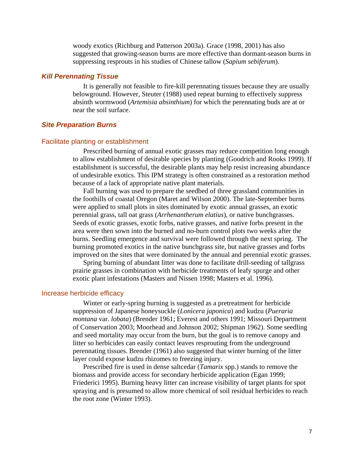woody exotics (Richburg and Patterson 2003a). Grace (1998, 2001) has also suggested that growing-season burns are more effective than dormant-season burns in suppressing resprouts in his studies of Chinese tallow (*Sapium sebiferum*).

# <span id="page-6-0"></span>*Kill Perennating Tissue*

It is generally not feasible to fire-kill perennating tissues because they are usually belowground. However, Steuter (1988) used repeat burning to effectively suppress absinth wormwood (*Artemisia absinthium*) for which the perennating buds are at or near the soil surface.

## *Site Preparation Burns*

#### Facilitate planting or establishment

Prescribed burning of annual exotic grasses may reduce competition long enough to allow establishment of desirable species by planting (Goodrich and Rooks 1999). If establishment is successful, the desirable plants may help resist increasing abundance of undesirable exotics. This IPM strategy is often constrained as a restoration method because of a lack of appropriate native plant materials.

Fall burning was used to prepare the seedbed of three grassland communities in the foothills of coastal Oregon (Maret and Wilson 2000). The late-September burns were applied to small plots in sites dominated by exotic annual grasses, an exotic perennial grass, tall oat grass (*Arrhenantherum elatius*), or native bunchgrasses. Seeds of exotic grasses, exotic forbs, native grasses, and native forbs present in the area were then sown into the burned and no-burn control plots two weeks after the burns. Seedling emergence and survival were followed through the next spring. The burning promoted exotics in the native bunchgrass site, but native grasses and forbs improved on the sites that were dominated by the annual and perennial exotic grasses.

Spring burning of abundant litter was done to facilitate drill-seeding of tallgrass prairie grasses in combination with herbicide treatments of leafy spurge and other exotic plant infestations (Masters and Nissen 1998; Masters et al. 1996).

#### Increase herbicide efficacy

Winter or early-spring burning is suggested as a pretreatment for herbicide suppression of Japanese honeysuckle (*Lonicera japonica*) and kudzu (*Pueraria montana* var. *lobata*) (Brender 1961; Everest and others 1991; Missouri Department of Conservation 2003; Moorhead and Johnson 2002; Shipman 1962). Some seedling and seed mortality may occur from the burn, but the goal is to remove canopy and litter so herbicides can easily contact leaves resprouting from the underground perennating tissues. Brender (1961) also suggested that winter burning of the litter layer could expose kudzu rhizomes to freezing injury.

Prescribed fire is used in dense saltcedar (*Tamarix* spp.) stands to remove the biomass and provide access for secondary herbicide application (Egan 1999; Friederici 1995). Burning heavy litter can increase visibility of target plants for spot spraying and is presumed to allow more chemical of soil residual herbicides to reach the root zone (Winter 1993).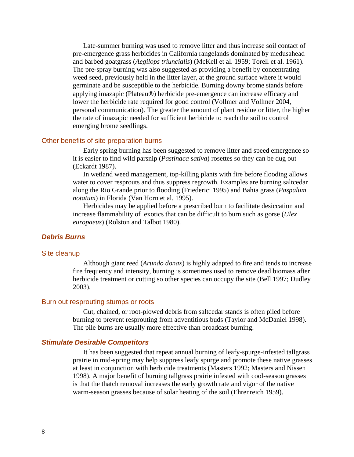<span id="page-7-0"></span>Late-summer burning was used to remove litter and thus increase soil contact of pre-emergence grass herbicides in California rangelands dominated by medusahead and barbed goatgrass (*Aegilops triuncialis*) (McKell et al. 1959; Torell et al. 1961). The pre-spray burning was also suggested as providing a benefit by concentrating weed seed, previously held in the litter layer, at the ground surface where it would germinate and be susceptible to the herbicide. Burning downy brome stands before applying imazapic (Plateau®) herbicide pre-emergence can increase efficacy and lower the herbicide rate required for good control (Vollmer and Vollmer 2004, personal communication). The greater the amount of plant residue or litter, the higher the rate of imazapic needed for sufficient herbicide to reach the soil to control emerging brome seedlings.

### Other benefits of site preparation burns

Early spring burning has been suggested to remove litter and speed emergence so it is easier to find wild parsnip (*Pastinaca sativa*) rosettes so they can be dug out (Eckardt 1987).

In wetland weed management, top-killing plants with fire before flooding allows water to cover resprouts and thus suppress regrowth. Examples are burning saltcedar along the Rio Grande prior to flooding (Friederici 1995) and Bahia grass (*Paspalum notatum*) in Florida (Van Horn et al. 1995).

Herbicides may be applied before a prescribed burn to facilitate desiccation and increase flammability of exotics that can be difficult to burn such as gorse (*Ulex europaeus*) (Rolston and Talbot 1980).

#### *Debris Burns*

#### Site cleanup

Although giant reed (*Arundo donax*) is highly adapted to fire and tends to increase fire frequency and intensity, burning is sometimes used to remove dead biomass after herbicide treatment or cutting so other species can occupy the site (Bell 1997; Dudley 2003).

#### Burn out resprouting stumps or roots

Cut, chained, or root-plowed debris from saltcedar stands is often piled before burning to prevent resprouting from adventitious buds (Taylor and McDaniel 1998). The pile burns are usually more effective than broadcast burning.

#### *Stimulate Desirable Competitors*

It has been suggested that repeat annual burning of leafy-spurge-infested tallgrass prairie in mid-spring may help suppress leafy spurge and promote these native grasses at least in conjunction with herbicide treatments (Masters 1992; Masters and Nissen 1998). A major benefit of burning tallgrass prairie infested with cool-season grasses is that the thatch removal increases the early growth rate and vigor of the native warm-season grasses because of solar heating of the soil (Ehrenreich 1959).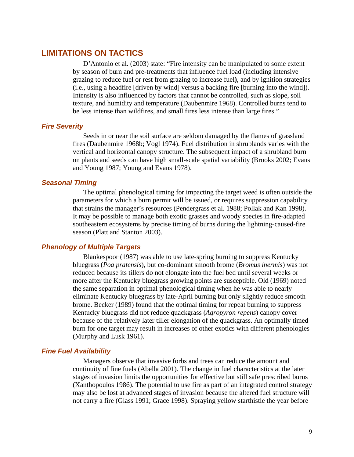# <span id="page-8-0"></span>**LIMITATIONS ON TACTICS**

D'Antonio et al. (2003) state: "Fire intensity can be manipulated to some extent by season of burn and pre-treatments that influence fuel load (including intensive grazing to reduce fuel or rest from grazing to increase fuel**)**, and by ignition strategies (i.e., using a headfire [driven by wind] versus a backing fire [burning into the wind]). Intensity is also influenced by factors that cannot be controlled, such as slope, soil texture, and humidity and temperature (Daubenmire 1968). Controlled burns tend to be less intense than wildfires, and small fires less intense than large fires."

# *Fire Severity*

Seeds in or near the soil surface are seldom damaged by the flames of grassland fires (Daubenmire 1968b; Vogl 1974). Fuel distribution in shrublands varies with the vertical and horizontal canopy structure. The subsequent impact of a shrubland burn on plants and seeds can have high small-scale spatial variability (Brooks 2002; Evans and Young 1987; Young and Evans 1978).

## *Seasonal Timing*

The optimal phenological timing for impacting the target weed is often outside the parameters for which a burn permit will be issued, or requires suppression capability that strains the manager's resources (Pendergrass et al. 1988; Pollak and Kan 1998). It may be possible to manage both exotic grasses and woody species in fire-adapted southeastern ecosystems by precise timing of burns during the lightning-caused-fire season (Platt and Stanton 2003).

# *Phenology of Multiple Targets*

Blankespoor (1987) was able to use late-spring burning to suppress Kentucky bluegrass (*Poa pratensis*), but co-dominant smooth brome (*Bromus inermis*) was not reduced because its tillers do not elongate into the fuel bed until several weeks or more after the Kentucky bluegrass growing points are susceptible. Old (1969) noted the same separation in optimal phenological timing when he was able to nearly eliminate Kentucky bluegrass by late-April burning but only slightly reduce smooth brome. Becker (1989) found that the optimal timing for repeat burning to suppress Kentucky bluegrass did not reduce quackgrass (*Agropyron repens*) canopy cover because of the relatively later tiller elongation of the quackgrass. An optimally timed burn for one target may result in increases of other exotics with different phenologies (Murphy and Lusk 1961).

## *Fine Fuel Availability*

Managers observe that invasive forbs and trees can reduce the amount and continuity of fine fuels (Abella 2001). The change in fuel characteristics at the later stages of invasion limits the opportunities for effective but still safe prescribed burns (Xanthopoulos 1986). The potential to use fire as part of an integrated control strategy may also be lost at advanced stages of invasion because the altered fuel structure will not carry a fire (Glass 1991; Grace 1998). Spraying yellow starthistle the year before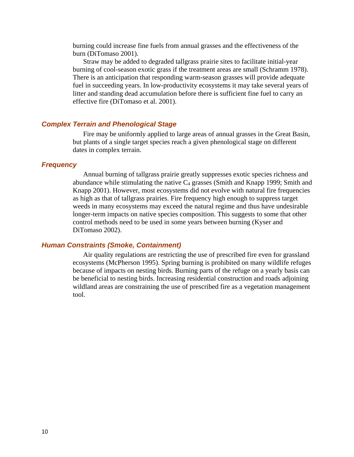<span id="page-9-0"></span>burning could increase fine fuels from annual grasses and the effectiveness of the burn (DiTomaso 2001).

Straw may be added to degraded tallgrass prairie sites to facilitate initial-year burning of cool-season exotic grass if the treatment areas are small (Schramm 1978). There is an anticipation that responding warm-season grasses will provide adequate fuel in succeeding years. In low-productivity ecosystems it may take several years of litter and standing dead accumulation before there is sufficient fine fuel to carry an effective fire (DiTomaso et al. 2001).

# *Complex Terrain and Phenological Stage*

Fire may be uniformly applied to large areas of annual grasses in the Great Basin, but plants of a single target species reach a given phenological stage on different dates in complex terrain.

# *Frequency*

Annual burning of tallgrass prairie greatly suppresses exotic species richness and abundance while stimulating the native  $C_4$  grasses (Smith and Knapp 1999; Smith and Knapp 2001). However, most ecosystems did not evolve with natural fire frequencies as high as that of tallgrass prairies. Fire frequency high enough to suppress target weeds in many ecosystems may exceed the natural regime and thus have undesirable longer-term impacts on native species composition. This suggests to some that other control methods need to be used in some years between burning (Kyser and DiTomaso 2002).

# *Human Constraints (Smoke, Containment)*

Air quality regulations are restricting the use of prescribed fire even for grassland ecosystems (McPherson 1995). Spring burning is prohibited on many wildlife refuges because of impacts on nesting birds. Burning parts of the refuge on a yearly basis can be beneficial to nesting birds. Increasing residential construction and roads adjoining wildland areas are constraining the use of prescribed fire as a vegetation management tool.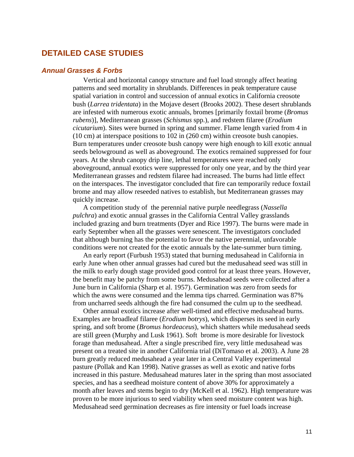# <span id="page-10-0"></span>**DETAILED CASE STUDIES**

# *Annual Grasses & Forbs*

Vertical and horizontal canopy structure and fuel load strongly affect heating patterns and seed mortality in shrublands. Differences in peak temperature cause spatial variation in control and succession of annual exotics in California creosote bush (*Larrea tridentata*) in the Mojave desert (Brooks 2002). These desert shrublands are infested with numerous exotic annuals, bromes [primarily foxtail brome (*Bromus rubens*)], Mediterranean grasses (*Schismus* spp.), and redstem filaree (*Erodium cicutarium*). Sites were burned in spring and summer. Flame length varied from 4 in (10 cm) at interspace positions to 102 in (260 cm) within creosote bush canopies. Burn temperatures under creosote bush canopy were high enough to kill exotic annual seeds belowground as well as aboveground. The exotics remained suppressed for four years. At the shrub canopy drip line, lethal temperatures were reached only aboveground, annual exotics were suppressed for only one year, and by the third year Mediterranean grasses and redstem filaree had increased. The burns had little effect on the interspaces. The investigator concluded that fire can temporarily reduce foxtail brome and may allow reseeded natives to establish, but Mediterranean grasses may quickly increase.

A competition study of the perennial native purple needlegrass (*Nassella pulchra*) and exotic annual grasses in the California Central Valley grasslands included grazing and burn treatments (Dyer and Rice 1997). The burns were made in early September when all the grasses were senescent. The investigators concluded that although burning has the potential to favor the native perennial, unfavorable conditions were not created for the exotic annuals by the late-summer burn timing.

An early report (Furbush 1953) stated that burning medusahead in California in early June when other annual grasses had cured but the medusahead seed was still in the milk to early dough stage provided good control for at least three years. However, the benefit may be patchy from some burns. Medusahead seeds were collected after a June burn in California (Sharp et al. 1957). Germination was zero from seeds for which the awns were consumed and the lemma tips charred. Germination was 87% from uncharred seeds although the fire had consumed the culm up to the seedhead.

Other annual exotics increase after well-timed and effective medusahead burns. Examples are broadleaf filaree (*Erodium botrys*), which disperses its seed in early spring, and soft brome (*Bromus hordeaceus*), which shatters while medusahead seeds are still green (Murphy and Lusk 1961). Soft brome is more desirable for livestock forage than medusahead. After a single prescribed fire, very little medusahead was present on a treated site in another California trial (DiTomaso et al. 2003). A June 28 burn greatly reduced medusahead a year later in a Central Valley experimental pasture (Pollak and Kan 1998). Native grasses as well as exotic and native forbs increased in this pasture. Medusahead matures later in the spring than most associated species, and has a seedhead moisture content of above 30% for approximately a month after leaves and stems begin to dry (McKell et al. 1962). High temperature was proven to be more injurious to seed viability when seed moisture content was high. Medusahead seed germination decreases as fire intensity or fuel loads increase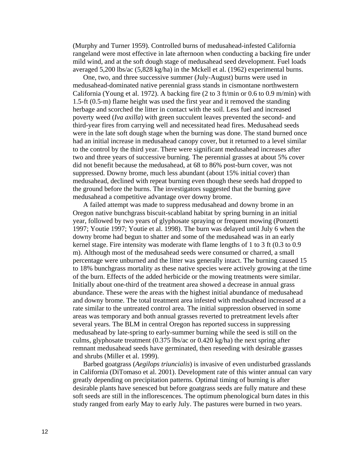(Murphy and Turner 1959). Controlled burns of medusahead-infested California rangeland were most effective in late afternoon when conducting a backing fire under mild wind, and at the soft dough stage of medusahead seed development. Fuel loads averaged 5,200 lbs/ac (5,828 kg/ha) in the Mckell et al. (1962) experimental burns.

One, two, and three successive summer (July-August) burns were used in medusahead-dominated native perennial grass stands in cismontane northwestern California (Young et al. 1972). A backing fire (2 to 3 ft/min or 0.6 to 0.9 m/min) with 1.5-ft (0.5-m) flame height was used the first year and it removed the standing herbage and scorched the litter in contact with the soil. Less fuel and increased poverty weed (*Iva axilla*) with green succulent leaves prevented the second- and third-year fires from carrying well and necessitated head fires. Medusahead seeds were in the late soft dough stage when the burning was done. The stand burned once had an initial increase in medusahead canopy cover, but it returned to a level similar to the control by the third year. There were significant medusahead increases after two and three years of successive burning. The perennial grasses at about 5% cover did not benefit because the medusahead, at 68 to 86% post-burn cover, was not suppressed. Downy brome, much less abundant (about 15% initial cover) than medusahead, declined with repeat burning even though these seeds had dropped to the ground before the burns. The investigators suggested that the burning gave medusahead a competitive advantage over downy brome.

A failed attempt was made to suppress medusahead and downy brome in an Oregon native bunchgrass biscuit-scabland habitat by spring burning in an initial year, followed by two years of glyphosate spraying or frequent mowing (Ponzetti 1997; Youtie 1997; Youtie et al. 1998). The burn was delayed until July 6 when the downy brome had begun to shatter and some of the medusahead was in an early kernel stage. Fire intensity was moderate with flame lengths of 1 to 3 ft (0.3 to 0.9 m). Although most of the medusahead seeds were consumed or charred, a small percentage were unburned and the litter was generally intact. The burning caused 15 to 18% bunchgrass mortality as these native species were actively growing at the time of the burn. Effects of the added herbicide or the mowing treatments were similar. Initially about one-third of the treatment area showed a decrease in annual grass abundance. These were the areas with the highest initial abundance of medusahead and downy brome. The total treatment area infested with medusahead increased at a rate similar to the untreated control area. The initial suppression observed in some areas was temporary and both annual grasses reverted to pretreatment levels after several years. The BLM in central Oregon has reported success in suppressing medusahead by late-spring to early-summer burning while the seed is still on the culms, glyphosate treatment (0.375 lbs/ac or 0.420 kg/ha) the next spring after remnant medusahead seeds have germinated, then reseeding with desirable grasses and shrubs (Miller et al. 1999).

Barbed goatgrass (*Aegilops triuncialis*) is invasive of even undisturbed grasslands in California (DiTomaso et al. 2001). Development rate of this winter annual can vary greatly depending on precipitation patterns. Optimal timing of burning is after desirable plants have senesced but before goatgrass seeds are fully mature and these soft seeds are still in the inflorescences. The optimum phenological burn dates in this study ranged from early May to early July. The pastures were burned in two years.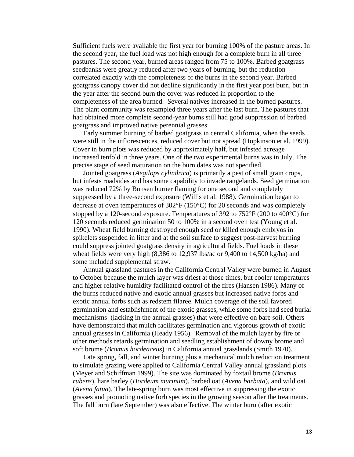Sufficient fuels were available the first year for burning 100% of the pasture areas. In the second year, the fuel load was not high enough for a complete burn in all three pastures. The second year, burned areas ranged from 75 to 100%. Barbed goatgrass seedbanks were greatly reduced after two years of burning, but the reduction correlated exactly with the completeness of the burns in the second year. Barbed goatgrass canopy cover did not decline significantly in the first year post burn, but in the year after the second burn the cover was reduced in proportion to the completeness of the area burned. Several natives increased in the burned pastures. The plant community was resampled three years after the last burn. The pastures that had obtained more complete second-year burns still had good suppression of barbed goatgrass and improved native perennial grasses.

Early summer burning of barbed goatgrass in central California, when the seeds were still in the inflorescences, reduced cover but not spread (Hopkinson et al. 1999). Cover in burn plots was reduced by approximately half, but infested acreage increased tenfold in three years. One of the two experimental burns was in July. The precise stage of seed maturation on the burn dates was not specified.

Jointed goatgrass (*Aegilops cylindrica*) is primarily a pest of small grain crops, but infests roadsides and has some capability to invade rangelands. Seed germination was reduced 72% by Bunsen burner flaming for one second and completely suppressed by a three-second exposure (Willis et al. 1988). Germination began to decrease at oven temperatures of 302°F (150°C) for 20 seconds and was completely stopped by a 120-second exposure. Temperatures of 392 to 752°F (200 to 400°C) for 120 seconds reduced germination 50 to 100% in a second oven test (Young et al. 1990). Wheat field burning destroyed enough seed or killed enough embryos in spikelets suspended in litter and at the soil surface to suggest post-harvest burning could suppress jointed goatgrass density in agricultural fields. Fuel loads in these wheat fields were very high (8,386 to 12,937 lbs/ac or 9,400 to 14,500 kg/ha) and some included supplemental straw.

Annual grassland pastures in the California Central Valley were burned in August to October because the mulch layer was driest at those times, but cooler temperatures and higher relative humidity facilitated control of the fires (Hansen 1986). Many of the burns reduced native and exotic annual grasses but increased native forbs and exotic annual forbs such as redstem filaree. Mulch coverage of the soil favored germination and establishment of the exotic grasses, while some forbs had seed burial mechanisms (lacking in the annual grasses) that were effective on bare soil. Others have demonstrated that mulch facilitates germination and vigorous growth of exotic annual grasses in California (Heady 1956). Removal of the mulch layer by fire or other methods retards germination and seedling establishment of downy brome and soft brome (*Bromus hordeaceus*) in California annual grasslands (Smith 1970).

Late spring, fall, and winter burning plus a mechanical mulch reduction treatment to simulate grazing were applied to California Central Valley annual grassland plots (Meyer and Schiffman 1999). The site was dominated by foxtail brome (*Bromus rubens*), hare barley (*Hordeum murinum*), barbed oat (*Avena barbata*), and wild oat (*Avena fatua*). The late-spring burn was most effective in suppressing the exotic grasses and promoting native forb species in the growing season after the treatments. The fall burn (late September) was also effective. The winter burn (after exotic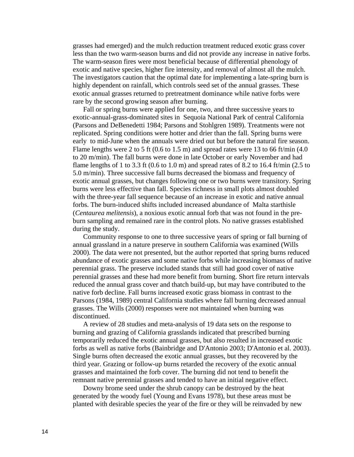grasses had emerged) and the mulch reduction treatment reduced exotic grass cover less than the two warm-season burns and did not provide any increase in native forbs. The warm-season fires were most beneficial because of differential phenology of exotic and native species, higher fire intensity, and removal of almost all the mulch. The investigators caution that the optimal date for implementing a late-spring burn is highly dependent on rainfall, which controls seed set of the annual grasses. These exotic annual grasses returned to pretreatment dominance while native forbs were rare by the second growing season after burning.

Fall or spring burns were applied for one, two, and three successive years to exotic-annual-grass-dominated sites in Sequoia National Park of central California (Parsons and DeBenedetti 1984; Parsons and Stohlgren 1989). Treatments were not replicated. Spring conditions were hotter and drier than the fall. Spring burns were early to mid-June when the annuals were dried out but before the natural fire season. Flame lengths were 2 to 5 ft (0.6 to 1.5 m) and spread rates were 13 to 66 ft/min  $(4.0)$ to 20 m/min). The fall burns were done in late October or early November and had flame lengths of 1 to 3.3 ft (0.6 to 1.0 m) and spread rates of 8.2 to 16.4 ft/min (2.5 to 5.0 m/min). Three successive fall burns decreased the biomass and frequency of exotic annual grasses, but changes following one or two burns were transitory. Spring burns were less effective than fall. Species richness in small plots almost doubled with the three-year fall sequence because of an increase in exotic and native annual forbs. The burn-induced shifts included increased abundance of Malta starthisle (*Centaurea melitensis*), a noxious exotic annual forb that was not found in the preburn sampling and remained rare in the control plots. No native grasses established during the study.

Community response to one to three successive years of spring or fall burning of annual grassland in a nature preserve in southern California was examined (Wills 2000). The data were not presented, but the author reported that spring burns reduced abundance of exotic grasses and some native forbs while increasing biomass of native perennial grass. The preserve included stands that still had good cover of native perennial grasses and these had more benefit from burning. Short fire return intervals reduced the annual grass cover and thatch build-up, but may have contributed to the native forb decline. Fall burns increased exotic grass biomass in contrast to the Parsons (1984, 1989) central California studies where fall burning decreased annual grasses. The Wills (2000) responses were not maintained when burning was discontinued.

A review of 28 studies and meta-analysis of 19 data sets on the response to burning and grazing of California grasslands indicated that prescribed burning temporarily reduced the exotic annual grasses, but also resulted in increased exotic forbs as well as native forbs (Bainbridge and D'Antonio 2003; D'Antonio et al. 2003). Single burns often decreased the exotic annual grasses, but they recovered by the third year. Grazing or follow-up burns retarded the recovery of the exotic annual grasses and maintained the forb cover. The burning did not tend to benefit the remnant native perennial grasses and tended to have an initial negative effect.

Downy brome seed under the shrub canopy can be destroyed by the heat generated by the woody fuel (Young and Evans 1978), but these areas must be planted with desirable species the year of the fire or they will be reinvaded by new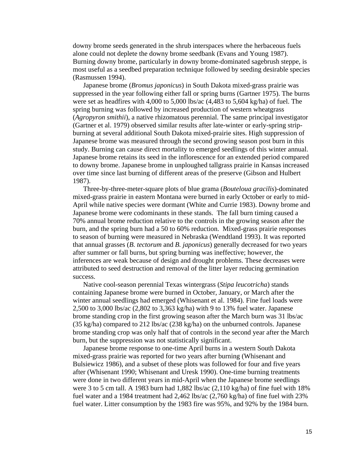downy brome seeds generated in the shrub interspaces where the herbaceous fuels alone could not deplete the downy brome seedbank (Evans and Young 1987). Burning downy brome, particularly in downy brome-dominated sagebrush steppe, is most useful as a seedbed preparation technique followed by seeding desirable species (Rasmussen 1994).

Japanese brome (*Bromus japonicus*) in South Dakota mixed-grass prairie was suppressed in the year following either fall or spring burns (Gartner 1975). The burns were set as headfires with 4,000 to 5,000 lbs/ac (4,483 to 5,604 kg/ha) of fuel. The spring burning was followed by increased production of western wheatgrass (*Agropyron smithii*), a native rhizomatous perennial. The same principal investigator (Gartner et al. 1979) observed similar results after late-winter or early-spring stripburning at several additional South Dakota mixed-prairie sites. High suppression of Japanese brome was measured through the second growing season post burn in this study. Burning can cause direct mortality to emerged seedlings of this winter annual. Japanese brome retains its seed in the inflorescence for an extended period compared to downy brome. Japanese brome in unploughed tallgrass prairie in Kansas increased over time since last burning of different areas of the preserve (Gibson and Hulbert 1987).

Three-by-three-meter-square plots of blue grama (*Bouteloua gracilis*)-dominated mixed-grass prairie in eastern Montana were burned in early October or early to mid-April while native species were dormant (White and Currie 1983). Downy brome and Japanese brome were codominants in these stands. The fall burn timing caused a 70% annual brome reduction relative to the controls in the growing season after the burn, and the spring burn had a 50 to 60% reduction. Mixed-grass prairie responses to season of burning were measured in Nebraska (Wendtland 1993). It was reported that annual grasses (*B. tectorum* and *B. japonicus*) generally decreased for two years after summer or fall burns, but spring burning was ineffective; however, the inferences are weak because of design and drought problems. These decreases were attributed to seed destruction and removal of the litter layer reducing germination success.

Native cool-season perennial Texas wintergrass (*Stipa leucotricha*) stands containing Japanese brome were burned in October, January, or March after the winter annual seedlings had emerged (Whisenant et al. 1984). Fine fuel loads were 2,500 to 3,000 lbs/ac (2,802 to 3,363 kg/ha) with 9 to 13% fuel water. Japanese brome standing crop in the first growing season after the March burn was 31 lbs/ac (35 kg/ha) compared to 212 lbs/ac (238 kg/ha) on the unburned controls. Japanese brome standing crop was only half that of controls in the second year after the March burn, but the suppression was not statistically significant.

Japanese brome response to one-time April burns in a western South Dakota mixed-grass prairie was reported for two years after burning (Whisenant and Bulsiewicz 1986), and a subset of these plots was followed for four and five years after (Whisenant 1990; Whisenant and Uresk 1990). One-time burning treatments were done in two different years in mid-April when the Japanese brome seedlings were 3 to 5 cm tall. A 1983 burn had 1,882 lbs/ac (2,110 kg/ha) of fine fuel with 18% fuel water and a 1984 treatment had 2,462 lbs/ac (2,760 kg/ha) of fine fuel with 23% fuel water. Litter consumption by the 1983 fire was 95%, and 92% by the 1984 burn.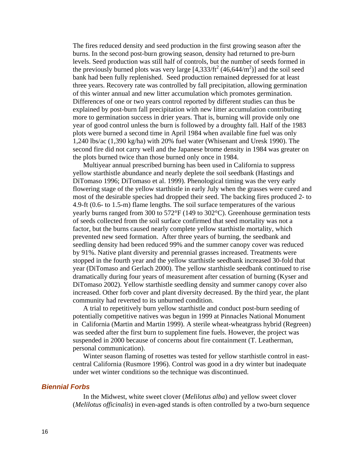<span id="page-15-0"></span>The fires reduced density and seed production in the first growing season after the burns. In the second post-burn growing season, density had returned to pre-burn levels. Seed production was still half of controls, but the number of seeds formed in the previously burned plots was very large  $[4,333/ft^2(46,644/m^2)]$  and the soil seed bank had been fully replenished. Seed production remained depressed for at least three years. Recovery rate was controlled by fall precipitation, allowing germination of this winter annual and new litter accumulation which promotes germination. Differences of one or two years control reported by different studies can thus be explained by post-burn fall precipitation with new litter accumulation contributing more to germination success in drier years. That is, burning will provide only one year of good control unless the burn is followed by a droughty fall. Half of the 1983 plots were burned a second time in April 1984 when available fine fuel was only 1,240 lbs/ac (1,390 kg/ha) with 20% fuel water (Whisenant and Uresk 1990). The second fire did not carry well and the Japanese brome density in 1984 was greater on the plots burned twice than those burned only once in 1984.

Multiyear annual prescribed burning has been used in California to suppress yellow starthistle abundance and nearly deplete the soil seedbank (Hastings and DiTomaso 1996; DiTomaso et al. 1999). Phenological timing was the very early flowering stage of the yellow starthistle in early July when the grasses were cured and most of the desirable species had dropped their seed. The backing fires produced 2- to 4.9-ft (0.6- to 1.5-m) flame lengths. The soil surface temperatures of the various yearly burns ranged from 300 to 572°F (149 to 302°C). Greenhouse germination tests of seeds collected from the soil surface confirmed that seed mortality was not a factor, but the burns caused nearly complete yellow starthistle mortality, which prevented new seed formation. After three years of burning, the seedbank and seedling density had been reduced 99% and the summer canopy cover was reduced by 91%. Native plant diversity and perennial grasses increased. Treatments were stopped in the fourth year and the yellow starthistle seedbank increased 30-fold that year (DiTomaso and Gerlach 2000). The yellow starthistle seedbank continued to rise dramatically during four years of measurement after cessation of burning (Kyser and DiTomaso 2002). Yellow starthistle seedling density and summer canopy cover also increased. Other forb cover and plant diversity decreased. By the third year, the plant community had reverted to its unburned condition.

A trial to repetitively burn yellow starthistle and conduct post-burn seeding of potentially competitive natives was begun in 1999 at Pinnacles National Monument in California (Martin and Martin 1999). A sterile wheat-wheatgrass hybrid (Regreen) was seeded after the first burn to supplement fine fuels. However, the project was suspended in 2000 because of concerns about fire containment (T. Leatherman, personal communication).

Winter season flaming of rosettes was tested for yellow starthistle control in eastcentral California (Rusmore 1996). Control was good in a dry winter but inadequate under wet winter conditions so the technique was discontinued.

# *Biennial Forbs*

In the Midwest, white sweet clover (*Melilotus alba*) and yellow sweet clover (*Melilotus officinalis*) in even-aged stands is often controlled by a two-burn sequence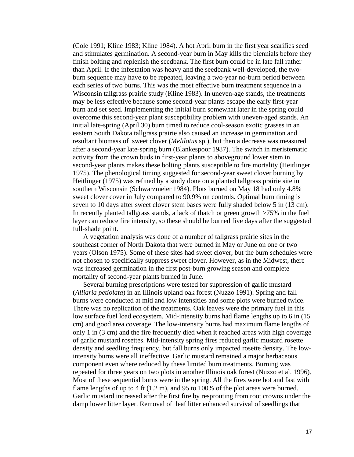(Cole 1991; Kline 1983; Kline 1984). A hot April burn in the first year scarifies seed and stimulates germination. A second-year burn in May kills the biennials before they finish bolting and replenish the seedbank. The first burn could be in late fall rather than April. If the infestation was heavy and the seedbank well-developed, the twoburn sequence may have to be repeated, leaving a two-year no-burn period between each series of two burns. This was the most effective burn treatment sequence in a Wisconsin tallgrass prairie study (Kline 1983). In uneven-age stands, the treatments may be less effective because some second-year plants escape the early first-year burn and set seed. Implementing the initial burn somewhat later in the spring could overcome this second-year plant susceptibility problem with uneven-aged stands. An initial late-spring (April 30) burn timed to reduce cool-season exotic grasses in an eastern South Dakota tallgrass prairie also caused an increase in germination and resultant biomass of sweet clover (*Melilotus* sp.), but then a decrease was measured after a second-year late-spring burn (Blankespoor 1987). The switch in meristematic activity from the crown buds in first-year plants to aboveground lower stem in second-year plants makes these bolting plants susceptible to fire mortality (Heitlinger 1975). The phenological timing suggested for second-year sweet clover burning by Heitlinger (1975) was refined by a study done on a planted tallgrass prairie site in southern Wisconsin (Schwarzmeier 1984). Plots burned on May 18 had only 4.8% sweet clover cover in July compared to 90.9% on controls. Optimal burn timing is seven to 10 days after sweet clover stem bases were fully shaded below 5 in (13 cm). In recently planted tallgrass stands, a lack of thatch or green growth >75% in the fuel layer can reduce fire intensity, so these should be burned five days after the suggested full-shade point.

A vegetation analysis was done of a number of tallgrass prairie sites in the southeast corner of North Dakota that were burned in May or June on one or two years (Olson 1975). Some of these sites had sweet clover, but the burn schedules were not chosen to specifically suppress sweet clover. However, as in the Midwest, there was increased germination in the first post-burn growing season and complete mortality of second-year plants burned in June.

Several burning prescriptions were tested for suppression of garlic mustard (*Alliaria petiolata*) in an Illinois upland oak forest (Nuzzo 1991). Spring and fall burns were conducted at mid and low intensities and some plots were burned twice. There was no replication of the treatments. Oak leaves were the primary fuel in this low surface fuel load ecosystem. Mid-intensity burns had flame lengths up to 6 in (15 cm) and good area coverage. The low-intensity burns had maximum flame lengths of only 1 in (3 cm) and the fire frequently died when it reached areas with high coverage of garlic mustard rosettes. Mid-intensity spring fires reduced garlic mustard rosette density and seedling frequency, but fall burns only impacted rosette density. The lowintensity burns were all ineffective. Garlic mustard remained a major herbaceous component even where reduced by these limited burn treatments. Burning was repeated for three years on two plots in another Illinois oak forest (Nuzzo et al. 1996). Most of these sequential burns were in the spring. All the fires were hot and fast with flame lengths of up to 4 ft (1.2 m), and 95 to 100% of the plot areas were burned. Garlic mustard increased after the first fire by resprouting from root crowns under the damp lower litter layer. Removal of leaf litter enhanced survival of seedlings that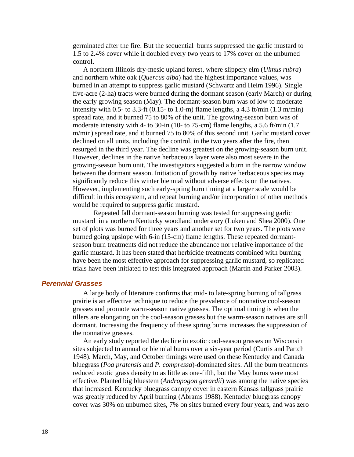<span id="page-17-0"></span>germinated after the fire. But the sequential burns suppressed the garlic mustard to 1.5 to 2.4% cover while it doubled every two years to 17% cover on the unburned control.

A northern Illinois dry-mesic upland forest, where slippery elm (*Ulmus rubra*) and northern white oak (*Quercus alba*) had the highest importance values, was burned in an attempt to suppress garlic mustard (Schwartz and Heim 1996). Single five-acre (2-ha) tracts were burned during the dormant season (early March) or during the early growing season (May). The dormant-season burn was of low to moderate intensity with 0.5- to 3.3-ft (0.15- to 1.0-m) flame lengths, a 4.3 ft/min  $(1.3 \text{ m/min})$ spread rate, and it burned 75 to 80% of the unit. The growing-season burn was of moderate intensity with 4- to 30-in (10- to 75-cm) flame lengths, a 5.6 ft/min (1.7 m/min) spread rate, and it burned 75 to 80% of this second unit. Garlic mustard cover declined on all units, including the control, in the two years after the fire, then resurged in the third year. The decline was greatest on the growing-season burn unit. However, declines in the native herbaceous layer were also most severe in the growing-season burn unit. The investigators suggested a burn in the narrow window between the dormant season. Initiation of growth by native herbaceous species may significantly reduce this winter biennial without adverse effects on the natives. However, implementing such early-spring burn timing at a larger scale would be difficult in this ecosystem, and repeat burning and/or incorporation of other methods would be required to suppress garlic mustard.

Repeated fall dormant-season burning was tested for suppressing garlic mustard in a northern Kentucky woodland understory (Luken and Shea 2000). One set of plots was burned for three years and another set for two years. The plots were burned going upslope with 6-in (15-cm) flame lengths. These repeated dormantseason burn treatments did not reduce the abundance nor relative importance of the garlic mustard. It has been stated that herbicide treatments combined with burning have been the most effective approach for suppressing garlic mustard, so replicated trials have been initiated to test this integrated approach (Martin and Parker 2003).

# *Perennial Grasses*

A large body of literature confirms that mid- to late-spring burning of tallgrass prairie is an effective technique to reduce the prevalence of nonnative cool-season grasses and promote warm-season native grasses. The optimal timing is when the tillers are elongating on the cool-season grasses but the warm-season natives are still dormant. Increasing the frequency of these spring burns increases the suppression of the nonnative grasses.

An early study reported the decline in exotic cool-season grasses on Wisconsin sites subjected to annual or biennial burns over a six-year period (Curtis and Partch 1948). March, May, and October timings were used on these Kentucky and Canada bluegrass (*Poa pratensis* and *P. compressa*)-dominated sites. All the burn treatments reduced exotic grass density to as little as one-fifth, but the May burns were most effective. Planted big bluestem (*Andropogon gerardii*) was among the native species that increased. Kentucky bluegrass canopy cover in eastern Kansas tallgrass prairie was greatly reduced by April burning (Abrams 1988). Kentucky bluegrass canopy cover was 30% on unburned sites, 7% on sites burned every four years, and was zero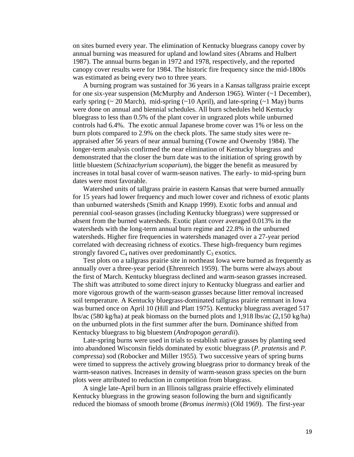on sites burned every year. The elimination of Kentucky bluegrass canopy cover by annual burning was measured for upland and lowland sites (Abrams and Hulbert 1987). The annual burns began in 1972 and 1978, respectively, and the reported canopy cover results were for 1984. The historic fire frequency since the mid-1800s was estimated as being every two to three years.

A burning program was sustained for 36 years in a Kansas tallgrass prairie except for one six-year suspension (McMurphy and Anderson 1965). Winter (~1 December), early spring ( $\sim 20$  March), mid-spring ( $\sim 10$  April), and late-spring ( $\sim 1$  May) burns were done on annual and biennial schedules. All burn schedules held Kentucky bluegrass to less than 0.5% of the plant cover in ungrazed plots while unburned controls had 6.4%. The exotic annual Japanese brome cover was 1% or less on the burn plots compared to 2.9% on the check plots. The same study sites were reappraised after 56 years of near annual burning (Towne and Owensby 1984). The longer-term analysis confirmed the near elimination of Kentucky bluegrass and demonstrated that the closer the burn date was to the initiation of spring growth by little bluestem (*Schizachyrium scoparium*), the bigger the benefit as measured by increases in total basal cover of warm-season natives. The early- to mid-spring burn dates were most favorable.

Watershed units of tallgrass prairie in eastern Kansas that were burned annually for 15 years had lower frequency and much lower cover and richness of exotic plants than unburned watersheds (Smith and Knapp 1999). Exotic forbs and annual and perennial cool-season grasses (including Kentucky bluegrass) were suppressed or absent from the burned watersheds. Exotic plant cover averaged 0.013% in the watersheds with the long-term annual burn regime and 22.8% in the unburned watersheds. Higher fire frequencies in watersheds managed over a 27-year period correlated with decreasing richness of exotics. These high-frequency burn regimes strongly favored  $C_4$  natives over predominantly  $C_3$  exotics.

Test plots on a tallgrass prairie site in northeast Iowa were burned as frequently as annually over a three-year period (Ehrenreich 1959). The burns were always about the first of March. Kentucky bluegrass declined and warm-season grasses increased. The shift was attributed to some direct injury to Kentucky bluegrass and earlier and more vigorous growth of the warm-season grasses because litter removal increased soil temperature. A Kentucky bluegrass-dominated tallgrass prairie remnant in Iowa was burned once on April 10 (Hill and Platt 1975). Kentucky bluegrass averaged 517 lbs/ac (580 kg/ha) at peak biomass on the burned plots and 1,918 lbs/ac (2,150 kg/ha) on the unburned plots in the first summer after the burn. Dominance shifted from Kentucky bluegrass to big bluestem (*Andropogon gerardii*).

Late-spring burns were used in trials to establish native grasses by planting seed into abandoned Wisconsin fields dominated by exotic bluegrass (*P. pratensis* and *P. compressa*) sod (Robocker and Miller 1955). Two successive years of spring burns were timed to suppress the actively growing bluegrass prior to dormancy break of the warm-season natives. Increases in density of warm-season grass species on the burn plots were attributed to reduction in competition from bluegrass.

A single late-April burn in an Illinois tallgrass prairie effectively eliminated Kentucky bluegrass in the growing season following the burn and significantly reduced the biomass of smooth brome (*Bromus inermis*) (Old 1969). The first-year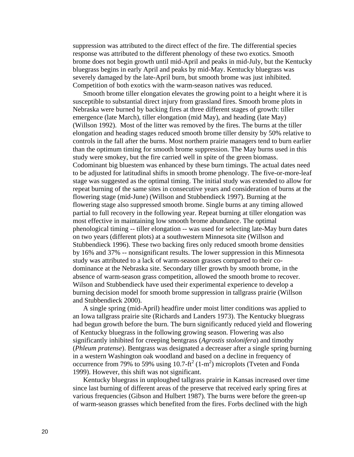suppression was attributed to the direct effect of the fire. The differential species response was attributed to the different phenology of these two exotics. Smooth brome does not begin growth until mid-April and peaks in mid-July, but the Kentucky bluegrass begins in early April and peaks by mid-May. Kentucky bluegrass was severely damaged by the late-April burn, but smooth brome was just inhibited. Competition of both exotics with the warm-season natives was reduced.

Smooth brome tiller elongation elevates the growing point to a height where it is susceptible to substantial direct injury from grassland fires. Smooth brome plots in Nebraska were burned by backing fires at three different stages of growth: tiller emergence (late March), tiller elongation (mid May), and heading (late May) (Willson 1992). Most of the litter was removed by the fires. The burns at the tiller elongation and heading stages reduced smooth brome tiller density by 50% relative to controls in the fall after the burns. Most northern prairie managers tend to burn earlier than the optimum timing for smooth brome suppression. The May burns used in this study were smokey, but the fire carried well in spite of the green biomass. Codominant big bluestem was enhanced by these burn timings. The actual dates need to be adjusted for latitudinal shifts in smooth brome phenology. The five-or-more-leaf stage was suggested as the optimal timing. The initial study was extended to allow for repeat burning of the same sites in consecutive years and consideration of burns at the flowering stage (mid-June) (Willson and Stubbendieck 1997). Burning at the flowering stage also suppressed smooth brome. Single burns at any timing allowed partial to full recovery in the following year. Repeat burning at tiller elongation was most effective in maintaining low smooth brome abundance. The optimal phenological timing -- tiller elongation -- was used for selecting late-May burn dates on two years (different plots) at a southwestern Minnesota site (Willson and Stubbendieck 1996). These two backing fires only reduced smooth brome densities by 16% and 37% -- nonsignificant results. The lower suppression in this Minnesota study was attributed to a lack of warm-season grasses compared to their codominance at the Nebraska site. Secondary tiller growth by smooth brome, in the absence of warm-season grass competition, allowed the smooth brome to recover. Wilson and Stubbendieck have used their experimental experience to develop a burning decision model for smooth brome suppression in tallgrass prairie (Willson and Stubbendieck 2000).

A single spring (mid-April) headfire under moist litter conditions was applied to an Iowa tallgrass prairie site (Richards and Landers 1973). The Kentucky bluegrass had begun growth before the burn. The burn significantly reduced yield and flowering of Kentucky bluegrass in the following growing season. Flowering was also significantly inhibited for creeping bentgrass (*Agrostis stolonifera*) and timothy (*Phleum pratense*). Bentgrass was designated a decreaser after a single spring burning in a western Washington oak woodland and based on a decline in frequency of occurrence from 79% to 59% using  $10.7$ -ft<sup>2</sup> (1-m<sup>2</sup>) microplots (Tveten and Fonda 1999). However, this shift was not significant.

Kentucky bluegrass in unploughed tallgrass prairie in Kansas increased over time since last burning of different areas of the preserve that received early spring fires at various frequencies (Gibson and Hulbert 1987). The burns were before the green-up of warm-season grasses which benefited from the fires. Forbs declined with the high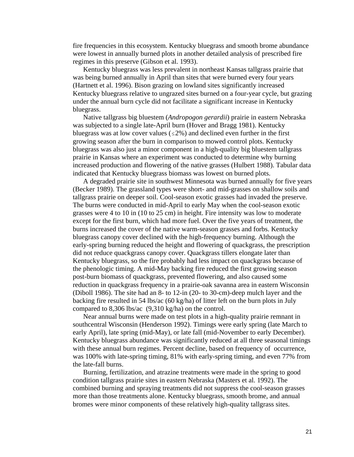fire frequencies in this ecosystem. Kentucky bluegrass and smooth brome abundance were lowest in annually burned plots in another detailed analysis of prescribed fire regimes in this preserve (Gibson et al. 1993).

Kentucky bluegrass was less prevalent in northeast Kansas tallgrass prairie that was being burned annually in April than sites that were burned every four years (Hartnett et al. 1996). Bison grazing on lowland sites significantly increased Kentucky bluegrass relative to ungrazed sites burned on a four-year cycle, but grazing under the annual burn cycle did not facilitate a significant increase in Kentucky bluegrass.

Native tallgrass big bluestem (*Andropogon gerardii*) prairie in eastern Nebraska was subjected to a single late-April burn (Hover and Bragg 1981). Kentucky bluegrass was at low cover values ( $\leq$ 2%) and declined even further in the first growing season after the burn in comparison to mowed control plots. Kentucky bluegrass was also just a minor component in a high-quality big bluestem tallgrass prairie in Kansas where an experiment was conducted to determine why burning increased production and flowering of the native grasses (Hulbert 1988). Tabular data indicated that Kentucky bluegrass biomass was lowest on burned plots.

A degraded prairie site in southwest Minnesota was burned annually for five years (Becker 1989). The grassland types were short- and mid-grasses on shallow soils and tallgrass prairie on deeper soil. Cool-season exotic grasses had invaded the preserve. The burns were conducted in mid-April to early May when the cool-season exotic grasses were 4 to 10 in (10 to 25 cm) in height. Fire intensity was low to moderate except for the first burn, which had more fuel. Over the five years of treatment, the burns increased the cover of the native warm-season grasses and forbs. Kentucky bluegrass canopy cover declined with the high-frequency burning. Although the early-spring burning reduced the height and flowering of quackgrass, the prescription did not reduce quackgrass canopy cover. Quackgrass tillers elongate later than Kentucky bluegrass, so the fire probably had less impact on quackgrass because of the phenologic timing. A mid-May backing fire reduced the first growing season post-burn biomass of quackgrass, prevented flowering, and also caused some reduction in quackgrass frequency in a prairie-oak savanna area in eastern Wisconsin (Diboll 1986). The site had an 8- to 12-in (20- to 30-cm)-deep mulch layer and the backing fire resulted in 54 lbs/ac (60 kg/ha) of litter left on the burn plots in July compared to 8,306 lbs/ac (9,310 kg/ha) on the control.

Near annual burns were made on test plots in a high-quality prairie remnant in southcentral Wisconsin (Henderson 1992). Timings were early spring (late March to early April), late spring (mid-May), or late fall (mid-November to early December). Kentucky bluegrass abundance was significantly reduced at all three seasonal timings with these annual burn regimes. Percent decline, based on frequency of occurrence, was 100% with late-spring timing, 81% with early-spring timing, and even 77% from the late-fall burns.

Burning, fertilization, and atrazine treatments were made in the spring to good condition tallgrass prairie sites in eastern Nebraska (Masters et al. 1992). The combined burning and spraying treatments did not suppress the cool-season grasses more than those treatments alone. Kentucky bluegrass, smooth brome, and annual bromes were minor components of these relatively high-quality tallgrass sites.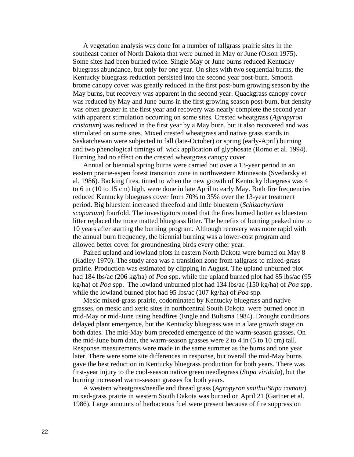A vegetation analysis was done for a number of tallgrass prairie sites in the southeast corner of North Dakota that were burned in May or June (Olson 1975). Some sites had been burned twice. Single May or June burns reduced Kentucky bluegrass abundance, but only for one year. On sites with two sequential burns, the Kentucky bluegrass reduction persisted into the second year post-burn. Smooth brome canopy cover was greatly reduced in the first post-burn growing season by the May burns, but recovery was apparent in the second year. Quackgrass canopy cover was reduced by May and June burns in the first growing season post-burn, but density was often greater in the first year and recovery was nearly complete the second year with apparent stimulation occurring on some sites. Crested wheatgrass (*Agropyron cristatum*) was reduced in the first year by a May burn, but it also recovered and was stimulated on some sites. Mixed crested wheatgrass and native grass stands in Saskatchewan were subjected to fall (late-October) or spring (early-April) burning and two phenological timings of wick application of glyphosate (Romo et al. 1994). Burning had no affect on the crested wheatgrass canopy cover.

Annual or biennial spring burns were carried out over a 13-year period in an eastern prairie-aspen forest transition zone in northwestern Minnesota (Svedarsky et al. 1986). Backing fires, timed to when the new growth of Kentucky bluegrass was 4 to 6 in (10 to 15 cm) high, were done in late April to early May. Both fire frequencies reduced Kentucky bluegrass cover from 70% to 35% over the 13-year treatment period. Big bluestem increased threefold and little bluestem (*Schizachyrium scoparium*) fourfold. The investigators noted that the fires burned hotter as bluestem litter replaced the more matted bluegrass litter. The benefits of burning peaked nine to 10 years after starting the burning program. Although recovery was more rapid with the annual burn frequency, the biennial burning was a lower-cost program and allowed better cover for groundnesting birds every other year.

Paired upland and lowland plots in eastern North Dakota were burned on May 8 (Hadley 1970). The study area was a transition zone from tallgrass to mixed-grass prairie. Production was estimated by clipping in August. The upland unburned plot had 184 lbs/ac (206 kg/ha) of *Poa* spp. while the upland burned plot had 85 lbs/ac (95 kg/ha) of *Poa* spp. The lowland unburned plot had 134 lbs/ac (150 kg/ha) of *Poa* spp. while the lowland burned plot had 95 lbs/ac (107 kg/ha) of *Poa* spp.

Mesic mixed-grass prairie, codominated by Kentucky bluegrass and native grasses, on mesic and xeric sites in northcentral South Dakota were burned once in mid-May or mid-June using headfires (Engle and Bultsma 1984). Drought conditions delayed plant emergence, but the Kentucky bluegrass was in a late growth stage on both dates. The mid-May burn preceded emergence of the warm-season grasses. On the mid-June burn date, the warm-season grasses were 2 to 4 in (5 to 10 cm) tall. Response measurements were made in the same summer as the burns and one year later. There were some site differences in response, but overall the mid-May burns gave the best reduction in Kentucky bluegrass production for both years. There was first-year injury to the cool-season native green needlegrass (*Stipa viridula*), but the burning increased warm-season grasses for both years.

A western wheatgrass/needle and thread grass (*Agropyron smithii*/*Stipa comata*) mixed-grass prairie in western South Dakota was burned on April 21 (Gartner et al. 1986). Large amounts of herbaceous fuel were present because of fire suppression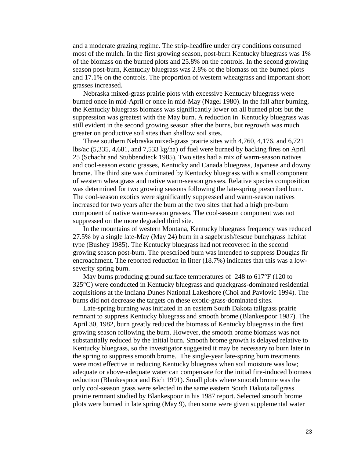and a moderate grazing regime. The strip-headfire under dry conditions consumed most of the mulch. In the first growing season, post-burn Kentucky bluegrass was 1% of the biomass on the burned plots and 25.8% on the controls. In the second growing season post-burn, Kentucky bluegrass was 2.8% of the biomass on the burned plots and 17.1% on the controls. The proportion of western wheatgrass and important short grasses increased.

Nebraska mixed-grass prairie plots with excessive Kentucky bluegrass were burned once in mid-April or once in mid-May (Nagel 1980). In the fall after burning, the Kentucky bluegrass biomass was significantly lower on all burned plots but the suppression was greatest with the May burn. A reduction in Kentucky bluegrass was still evident in the second growing season after the burns, but regrowth was much greater on productive soil sites than shallow soil sites.

Three southern Nebraska mixed-grass prairie sites with 4,760, 4,176, and 6,721 lbs/ac (5,335, 4,681, and 7,533 kg/ha) of fuel were burned by backing fires on April 25 (Schacht and Stubbendieck 1985). Two sites had a mix of warm-season natives and cool-season exotic grasses, Kentucky and Canada bluegrass, Japanese and downy brome. The third site was dominated by Kentucky bluegrass with a small component of western wheatgrass and native warm-season grasses. Relative species composition was determined for two growing seasons following the late-spring prescribed burn. The cool-season exotics were significantly suppressed and warm-season natives increased for two years after the burn at the two sites that had a high pre-burn component of native warm-season grasses. The cool-season component was not suppressed on the more degraded third site.

In the mountains of western Montana, Kentucky bluegrass frequency was reduced 27.5% by a single late-May (May 24) burn in a sagebrush/fescue bunchgrass habitat type (Bushey 1985). The Kentucky bluegrass had not recovered in the second growing season post-burn. The prescribed burn was intended to suppress Douglas fir encroachment. The reported reduction in litter (18.7%) indicates that this was a lowseverity spring burn.

May burns producing ground surface temperatures of 248 to 617°F (120 to 325°C) were conducted in Kentucky bluegrass and quackgrass-dominated residential acquisitions at the Indiana Dunes National Lakeshore (Choi and Pavlovic 1994). The burns did not decrease the targets on these exotic-grass-dominated sites.

Late-spring burning was initiated in an eastern South Dakota tallgrass prairie remnant to suppress Kentucky bluegrass and smooth brome (Blankespoor 1987). The April 30, 1982, burn greatly reduced the biomass of Kentucky bluegrass in the first growing season following the burn. However, the smooth brome biomass was not substantially reduced by the initial burn. Smooth brome growth is delayed relative to Kentucky bluegrass, so the investigator suggested it may be necessary to burn later in the spring to suppress smooth brome. The single-year late-spring burn treatments were most effective in reducing Kentucky bluegrass when soil moisture was low; adequate or above-adequate water can compensate for the initial fire-induced biomass reduction (Blankespoor and Bich 1991). Small plots where smooth brome was the only cool-season grass were selected in the same eastern South Dakota tallgrass prairie remnant studied by Blankespoor in his 1987 report. Selected smooth brome plots were burned in late spring (May 9), then some were given supplemental water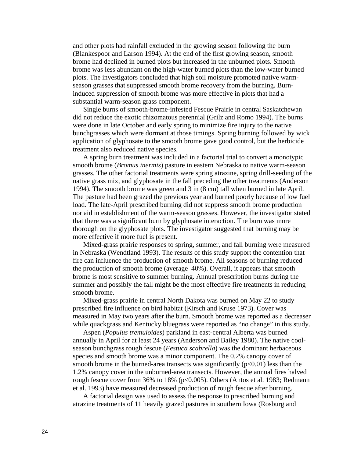and other plots had rainfall excluded in the growing season following the burn (Blankespoor and Larson 1994). At the end of the first growing season, smooth brome had declined in burned plots but increased in the unburned plots. Smooth brome was less abundant on the high-water burned plots than the low-water burned plots. The investigators concluded that high soil moisture promoted native warmseason grasses that suppressed smooth brome recovery from the burning. Burninduced suppression of smooth brome was more effective in plots that had a substantial warm-season grass component.

Single burns of smooth-brome-infested Fescue Prairie in central Saskatchewan did not reduce the exotic rhizomatous perennial (Grilz and Romo 1994). The burns were done in late October and early spring to minimize fire injury to the native bunchgrasses which were dormant at those timings. Spring burning followed by wick application of glyphosate to the smooth brome gave good control, but the herbicide treatment also reduced native species.

A spring burn treatment was included in a factorial trial to convert a monotypic smooth brome (*Bromus inermis*) pasture in eastern Nebraska to native warm-season grasses. The other factorial treatments were spring atrazine, spring drill-seeding of the native grass mix, and glyphosate in the fall preceding the other treatments (Anderson 1994). The smooth brome was green and 3 in (8 cm) tall when burned in late April. The pasture had been grazed the previous year and burned poorly because of low fuel load. The late-April prescribed burning did not suppress smooth brome production nor aid in establishment of the warm-season grasses. However, the investigator stated that there was a significant burn by glyphosate interaction. The burn was more thorough on the glyphosate plots. The investigator suggested that burning may be more effective if more fuel is present.

Mixed-grass prairie responses to spring, summer, and fall burning were measured in Nebraska (Wendtland 1993). The results of this study support the contention that fire can influence the production of smooth brome. All seasons of burning reduced the production of smooth brome (average 40%). Overall, it appears that smooth brome is most sensitive to summer burning. Annual prescription burns during the summer and possibly the fall might be the most effective fire treatments in reducing smooth brome.

Mixed-grass prairie in central North Dakota was burned on May 22 to study prescribed fire influence on bird habitat (Kirsch and Kruse 1973). Cover was measured in May two years after the burn. Smooth brome was reported as a decreaser while quackgrass and Kentucky bluegrass were reported as "no change" in this study.

 Aspen (*Populus tremuloides*) parkland in east-central Alberta was burned annually in April for at least 24 years (Anderson and Bailey 1980). The native coolseason bunchgrass rough fescue (*Festuca scabrella*) was the dominant herbaceous species and smooth brome was a minor component. The 0.2% canopy cover of smooth brome in the burned-area transects was significantly  $(p<0.01)$  less than the 1.2% canopy cover in the unburned-area transects. However, the annual fires halved rough fescue cover from 36% to 18% (p<0.005). Others (Antos et al. 1983; Redmann et al. 1993) have measured decreased production of rough fescue after burning.

A factorial design was used to assess the response to prescribed burning and atrazine treatments of 11 heavily grazed pastures in southern Iowa (Rosburg and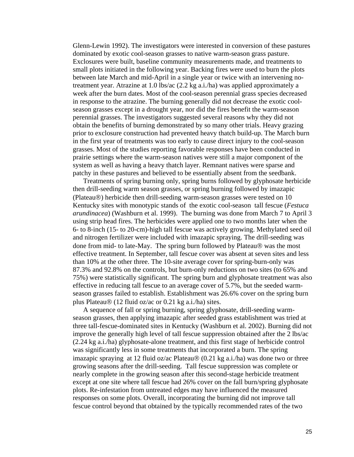Glenn-Lewin 1992). The investigators were interested in conversion of these pastures dominated by exotic cool-season grasses to native warm-season grass pasture. Exclosures were built, baseline community measurements made, and treatments to small plots initiated in the following year. Backing fires were used to burn the plots between late March and mid-April in a single year or twice with an intervening notreatment year. Atrazine at 1.0 lbs/ac (2.2 kg a.i./ha) was applied approximately a week after the burn dates. Most of the cool-season perennial grass species decreased in response to the atrazine. The burning generally did not decrease the exotic coolseason grasses except in a drought year, nor did the fires benefit the warm-season perennial grasses. The investigators suggested several reasons why they did not obtain the benefits of burning demonstrated by so many other trials. Heavy grazing prior to exclosure construction had prevented heavy thatch build-up. The March burn in the first year of treatments was too early to cause direct injury to the cool-season grasses. Most of the studies reporting favorable responses have been conducted in prairie settings where the warm-season natives were still a major component of the system as well as having a heavy thatch layer. Remnant natives were sparse and patchy in these pastures and believed to be essentially absent from the seedbank.

Treatments of spring burning only, spring burns followed by glyphosate herbicide then drill-seeding warm season grasses, or spring burning followed by imazapic (Plateau®) herbicide then drill-seeding warm-season grasses were tested on 10 Kentucky sites with monotypic stands of the exotic cool-season tall fescue (*Festuca arundinacea*) (Washburn et al. 1999). The burning was done from March 7 to April 3 using strip head fires. The herbicides were applied one to two months later when the 6- to 8-inch (15- to 20-cm)-high tall fescue was actively growing. Methylated seed oil and nitrogen fertilizer were included with imazapic spraying. The drill-seeding was done from mid- to late-May. The spring burn followed by Plateau® was the most effective treatment. In September, tall fescue cover was absent at seven sites and less than 10% at the other three. The 10-site average cover for spring-burn-only was 87.3% and 92.8% on the controls, but burn-only reductions on two sites (to 65% and 75%) were statistically significant. The spring burn and glyphosate treatment was also effective in reducing tall fescue to an average cover of 5.7%, but the seeded warmseason grasses failed to establish. Establishment was 26.6% cover on the spring burn plus Plateau® (12 fluid oz/ac or 0.21 kg a.i./ha) sites.

A sequence of fall or spring burning, spring glyphosate, drill-seeding warmseason grasses, then applying imazapic after seeded grass establishment was tried at three tall-fescue-dominated sites in Kentucky (Washburn et al. 2002). Burning did not improve the generally high level of tall fescue suppression obtained after the 2 lbs/ac (2.24 kg a.i./ha) glyphosate-alone treatment, and this first stage of herbicide control was significantly less in some treatments that incorporated a burn. The spring imazapic spraying at 12 fluid oz/ac Plateau® (0.21 kg a.i./ha) was done two or three growing seasons after the drill-seeding. Tall fescue suppression was complete or nearly complete in the growing season after this second-stage herbicide treatment except at one site where tall fescue had 26% cover on the fall burn/spring glyphosate plots. Re-infestation from untreated edges may have influenced the measured responses on some plots. Overall, incorporating the burning did not improve tall fescue control beyond that obtained by the typically recommended rates of the two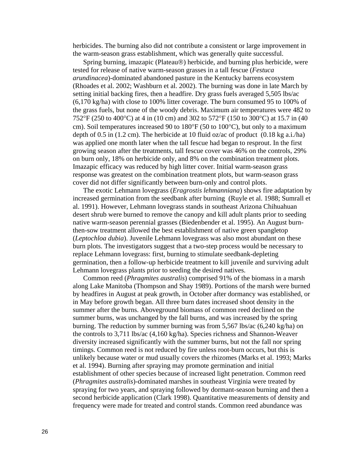herbicides. The burning also did not contribute a consistent or large improvement in the warm-season grass establishment, which was generally quite successful.

Spring burning, imazapic (Plateau®) herbicide, and burning plus herbicide, were tested for release of native warm-season grasses in a tall fescue (*Festuca arundinacea*)-dominated abandoned pasture in the Kentucky barrens ecosystem (Rhoades et al. 2002; Washburn et al. 2002). The burning was done in late March by setting initial backing fires, then a headfire. Dry grass fuels averaged 5,505 lbs/ac (6,170 kg/ha) with close to 100% litter coverage. The burn consumed 95 to 100% of the grass fuels, but none of the woody debris. Maximum air temperatures were 482 to 752°F (250 to 400°C) at 4 in (10 cm) and 302 to 572°F (150 to 300°C) at 15.7 in (40 cm). Soil temperatures increased 90 to 180°F (50 to 100°C), but only to a maximum depth of 0.5 in (1.2 cm). The herbicide at 10 fluid oz/ac of product  $(0.18 \text{ kg a.i./ha})$ was applied one month later when the tall fescue had began to resprout. In the first growing season after the treatments, tall fescue cover was 46% on the controls, 29% on burn only, 18% on herbicide only, and 8% on the combination treatment plots. Imazapic efficacy was reduced by high litter cover. Initial warm-season grass response was greatest on the combination treatment plots, but warm-season grass cover did not differ significantly between burn-only and control plots.

The exotic Lehmann lovegrass (*Eragrostis lehmanniana*) shows fire adaptation by increased germination from the seedbank after burning (Ruyle et al. 1988; Sumrall et al. 1991). However, Lehmann lovegrass stands in southeast Arizona Chihuahuan desert shrub were burned to remove the canopy and kill adult plants prior to seeding native warm-season perennial grasses (Biedenbender et al. 1995). An August burnthen-sow treatment allowed the best establishment of native green spangletop (*Leptochloa dubia*). Juvenile Lehmann lovegrass was also most abundant on these burn plots. The investigators suggest that a two-step process would be necessary to replace Lehmann lovegrass: first, burning to stimulate seedbank-depleting germination, then a follow-up herbicide treatment to kill juvenile and surviving adult Lehmann lovegrass plants prior to seeding the desired natives.

Common reed (*Phragmites australis*) comprised 91% of the biomass in a marsh along Lake Manitoba (Thompson and Shay 1989). Portions of the marsh were burned by headfires in August at peak growth, in October after dormancy was established, or in May before growth began. All three burn dates increased shoot density in the summer after the burns. Aboveground biomass of common reed declined on the summer burns, was unchanged by the fall burns, and was increased by the spring burning. The reduction by summer burning was from 5,567 lbs/ac (6,240 kg/ha) on the controls to 3,711 lbs/ac (4,160 kg/ha). Species richness and Shannon-Weaver diversity increased significantly with the summer burns, but not the fall nor spring timings. Common reed is not reduced by fire unless root-burn occurs, but this is unlikely because water or mud usually covers the rhizomes (Marks et al. 1993; Marks et al. 1994). Burning after spraying may promote germination and initial establishment of other species because of increased light penetration. Common reed (*Phragmites australis*)-dominated marshes in southeast Virginia were treated by spraying for two years, and spraying followed by dormant-season burning and then a second herbicide application (Clark 1998). Quantitative measurements of density and frequency were made for treated and control stands. Common reed abundance was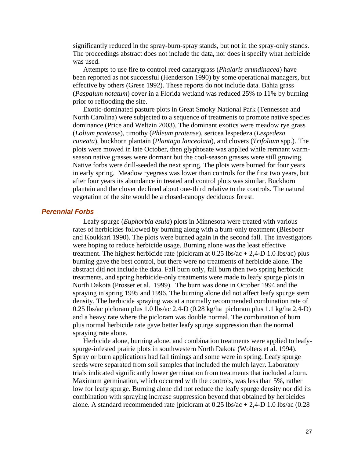<span id="page-26-0"></span>significantly reduced in the spray-burn-spray stands, but not in the spray-only stands. The proceedings abstract does not include the data, nor does it specify what herbicide was used.

Attempts to use fire to control reed canarygrass (*Phalaris arundinacea*) have been reported as not successful (Henderson 1990) by some operational managers, but effective by others (Grese 1992). These reports do not include data. Bahia grass (*Paspalum notatum*) cover in a Florida wetland was reduced 25% to 11% by burning prior to reflooding the site.

Exotic-dominated pasture plots in Great Smoky National Park (Tennessee and North Carolina) were subjected to a sequence of treatments to promote native species dominance (Price and Weltzin 2003). The dominant exotics were meadow rye grass (*Lolium pratense*), timothy (*Phleum pratense*), sericea lespedeza (*Lespedeza cuneata*), buckhorn plantain (*Plantago lanceolata*), and clovers (*Trifolium* spp.). The plots were mowed in late October, then glyphosate was applied while remnant warmseason native grasses were dormant but the cool-season grasses were still growing. Native forbs were drill-seeded the next spring. The plots were burned for four years in early spring. Meadow ryegrass was lower than controls for the first two years, but after four years its abundance in treated and control plots was similar. Buckhorn plantain and the clover declined about one-third relative to the controls. The natural vegetation of the site would be a closed-canopy deciduous forest.

# *Perennial Forbs*

Leafy spurge (*Euphorbia esula*) plots in Minnesota were treated with various rates of herbicides followed by burning along with a burn-only treatment (Biesboer and Koukkari 1990). The plots were burned again in the second fall. The investigators were hoping to reduce herbicide usage. Burning alone was the least effective treatment. The highest herbicide rate (picloram at  $0.25 \text{ lbs/ac} + 2,4-\text{D} 1.0 \text{ lbs/ac}$ ) plus burning gave the best control, but there were no treatments of herbicide alone. The abstract did not include the data. Fall burn only, fall burn then two spring herbicide treatments, and spring herbicide-only treatments were made to leafy spurge plots in North Dakota (Prosser et al. 1999). The burn was done in October 1994 and the spraying in spring 1995 and 1996. The burning alone did not affect leafy spurge stem density. The herbicide spraying was at a normally recommended combination rate of 0.25 lbs/ac picloram plus 1.0 lbs/ac 2,4-D (0.28 kg/ha picloram plus 1.1 kg/ha 2,4-D) and a heavy rate where the picloram was double normal. The combination of burn plus normal herbicide rate gave better leafy spurge suppression than the normal spraying rate alone.

Herbicide alone, burning alone, and combination treatments were applied to leafyspurge-infested prairie plots in southwestern North Dakota (Wolters et al. 1994). Spray or burn applications had fall timings and some were in spring. Leafy spurge seeds were separated from soil samples that included the mulch layer. Laboratory trials indicated significantly lower germination from treatments that included a burn. Maximum germination, which occurred with the controls, was less than 5%, rather low for leafy spurge. Burning alone did not reduce the leafy spurge density nor did its combination with spraying increase suppression beyond that obtained by herbicides alone. A standard recommended rate [picloram at  $0.25$  lbs/ac  $+ 2,4$ -D 1.0 lbs/ac  $(0.28)$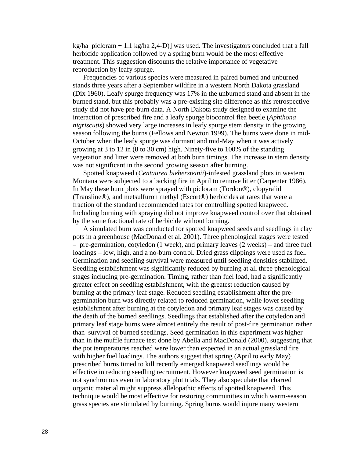kg/ha picloram  $+ 1.1$  kg/ha 2,4-D)] was used. The investigators concluded that a fall herbicide application followed by a spring burn would be the most effective treatment. This suggestion discounts the relative importance of vegetative reproduction by leafy spurge.

Frequencies of various species were measured in paired burned and unburned stands three years after a September wildfire in a western North Dakota grassland (Dix 1960). Leafy spurge frequency was 17% in the unburned stand and absent in the burned stand, but this probably was a pre-existing site difference as this retrospective study did not have pre-burn data. A North Dakota study designed to examine the interaction of prescribed fire and a leafy spurge biocontrol flea beetle (*Aphthona nigriscutis*) showed very large increases in leafy spurge stem density in the growing season following the burns (Fellows and Newton 1999). The burns were done in mid-October when the leafy spurge was dormant and mid-May when it was actively growing at 3 to 12 in (8 to 30 cm) high. Ninety-five to 100% of the standing vegetation and litter were removed at both burn timings. The increase in stem density was not significant in the second growing season after burning.

Spotted knapweed (*Centaurea biebersteinii*)-infested grassland plots in western Montana were subjected to a backing fire in April to remove litter (Carpenter 1986). In May these burn plots were sprayed with picloram (Tordon®), clopyralid (Transline®), and metsulfuron methyl (Escort®) herbicides at rates that were a fraction of the standard recommended rates for controlling spotted knapweed. Including burning with spraying did not improve knapweed control over that obtained by the same fractional rate of herbicide without burning.

A simulated burn was conducted for spotted knapweed seeds and seedlings in clay pots in a greenhouse (MacDonald et al. 2001). Three phenological stages were tested – pre-germination, cotyledon (1 week), and primary leaves (2 weeks) – and three fuel loadings – low, high, and a no-burn control. Dried grass clippings were used as fuel. Germination and seedling survival were measured until seedling densities stabilized. Seedling establishment was significantly reduced by burning at all three phenological stages including pre-germination. Timing, rather than fuel load, had a significantly greater effect on seedling establishment, with the greatest reduction caused by burning at the primary leaf stage. Reduced seedling establishment after the pregermination burn was directly related to reduced germination, while lower seedling establishment after burning at the cotyledon and primary leaf stages was caused by the death of the burned seedlings. Seedlings that established after the cotyledon and primary leaf stage burns were almost entirely the result of post-fire germination rather than survival of burned seedlings. Seed germination in this experiment was higher than in the muffle furnace test done by Abella and MacDonald (2000), suggesting that the pot temperatures reached were lower than expected in an actual grassland fire with higher fuel loadings. The authors suggest that spring (April to early May) prescribed burns timed to kill recently emerged knapweed seedlings would be effective in reducing seedling recruitment. However knapweed seed germination is not synchronous even in laboratory plot trials. They also speculate that charred organic material might suppress allelopathic effects of spotted knapweed. This technique would be most effective for restoring communities in which warm-season grass species are stimulated by burning. Spring burns would injure many western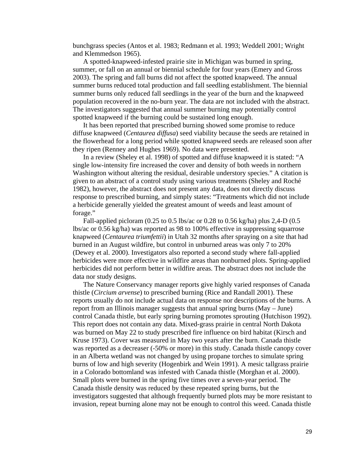bunchgrass species (Antos et al. 1983; Redmann et al. 1993; Weddell 2001; Wright and Klemmedson 1965).

A spotted-knapweed-infested prairie site in Michigan was burned in spring, summer, or fall on an annual or biennial schedule for four years (Emery and Gross 2003). The spring and fall burns did not affect the spotted knapweed. The annual summer burns reduced total production and fall seedling establishment. The biennial summer burns only reduced fall seedlings in the year of the burn and the knapweed population recovered in the no-burn year. The data are not included with the abstract. The investigators suggested that annual summer burning may potentially control spotted knapweed if the burning could be sustained long enough.

It has been reported that prescribed burning showed some promise to reduce diffuse knapweed (*Centaurea diffusa*) seed viability because the seeds are retained in the flowerhead for a long period while spotted knapweed seeds are released soon after they ripen (Renney and Hughes 1969). No data were presented.

In a review (Sheley et al. 1998) of spotted and diffuse knapweed it is stated: "A single low-intensity fire increased the cover and density of both weeds in northern Washington without altering the residual, desirable understory species." A citation is given to an abstract of a control study using various treatments (Sheley and Roché 1982), however, the abstract does not present any data, does not directly discuss response to prescribed burning, and simply states: "Treatments which did not include a herbicide generally yielded the greatest amount of weeds and least amount of forage."

Fall-applied picloram (0.25 to 0.5 lbs/ac or 0.28 to 0.56 kg/ha) plus 2,4-D (0.5 lbs/ac or 0.56 kg/ha) was reported as 98 to 100% effective in suppressing squarrose knapweed (*Centaurea triumfettii*) in Utah 32 months after spraying on a site that had burned in an August wildfire, but control in unburned areas was only 7 to 20% (Dewey et al. 2000). Investigators also reported a second study where fall-applied herbicides were more effective in wildfire areas than nonburned plots. Spring-applied herbicides did not perform better in wildfire areas. The abstract does not include the data nor study designs.

The Nature Conservancy manager reports give highly varied responses of Canada thistle (*Circium arvense*) to prescribed burning (Rice and Randall 2001). These reports usually do not include actual data on response nor descriptions of the burns. A report from an Illinois manager suggests that annual spring burns (May – June) control Canada thistle, but early spring burning promotes sprouting (Hutchison 1992). This report does not contain any data. Mixed-grass prairie in central North Dakota was burned on May 22 to study prescribed fire influence on bird habitat (Kirsch and Kruse 1973). Cover was measured in May two years after the burn. Canada thistle was reported as a decreaser (-50% or more) in this study. Canada thistle canopy cover in an Alberta wetland was not changed by using propane torches to simulate spring burns of low and high severity (Hogenbirk and Wein 1991). A mesic tallgrass prairie in a Colorado bottomland was infested with Canada thistle (Morghan et al. 2000). Small plots were burned in the spring five times over a seven-year period. The Canada thistle density was reduced by these repeated spring burns, but the investigators suggested that although frequently burned plots may be more resistant to invasion, repeat burning alone may not be enough to control this weed. Canada thistle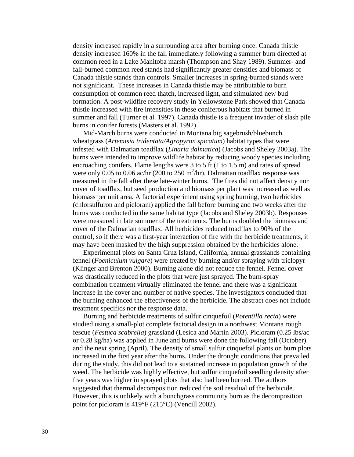density increased rapidly in a surrounding area after burning once. Canada thistle density increased 160% in the fall immediately following a summer burn directed at common reed in a Lake Manitoba marsh (Thompson and Shay 1989). Summer- and fall-burned common reed stands had significantly greater densities and biomass of Canada thistle stands than controls. Smaller increases in spring-burned stands were not significant. These increases in Canada thistle may be attributable to burn consumption of common reed thatch, increased light, and stimulated new bud formation. A post-wildfire recovery study in Yellowstone Park showed that Canada thistle increased with fire intensities in these coniferous habitats that burned in summer and fall (Turner et al. 1997). Canada thistle is a frequent invader of slash pile burns in conifer forests (Masters et al. 1992).

Mid-March burns were conducted in Montana big sagebrush/bluebunch wheatgrass (*Artemisia tridentata/Agropyron spicatum*) habitat types that were infested with Dalmatian toadflax (*Linaria dalmatica*) (Jacobs and Sheley 2003a). The burns were intended to improve wildlife habitat by reducing woody species including encroaching conifers. Flame lengths were 3 to 5 ft (1 to 1.5 m) and rates of spread were only 0.05 to 0.06 ac/hr (200 to 250 m<sup>2</sup>/hr). Dalmatian toadflax response was measured in the fall after these late-winter burns. The fires did not affect density nor cover of toadflax, but seed production and biomass per plant was increased as well as biomass per unit area. A factorial experiment using spring burning, two herbicides (chlorsulfuron and picloram) applied the fall before burning and two weeks after the burns was conducted in the same habitat type (Jacobs and Sheley 2003b). Responses were measured in late summer of the treatments. The burns doubled the biomass and cover of the Dalmatian toadflax. All herbicides reduced toadflax to 90% of the control, so if there was a first-year interaction of fire with the herbicide treatments, it may have been masked by the high suppression obtained by the herbicides alone.

Experimental plots on Santa Cruz Island, California, annual grasslands containing fennel (*Foeniculum vulgare*) were treated by burning and/or spraying with triclopyr (Klinger and Brenton 2000). Burning alone did not reduce the fennel. Fennel cover was drastically reduced in the plots that were just sprayed. The burn-spray combination treatment virtually eliminated the fennel and there was a significant increase in the cover and number of native species. The investigators concluded that the burning enhanced the effectiveness of the herbicide. The abstract does not include treatment specifics nor the response data.

Burning and herbicide treatments of sulfur cinquefoil (*Potentilla recta*) were studied using a small-plot complete factorial design in a northwest Montana rough fescue (*Festuca scabrella*) grassland (Lesica and Martin 2003). Picloram (0.25 lbs/ac or 0.28 kg/ha) was applied in June and burns were done the following fall (October) and the next spring (April). The density of small sulfur cinquefoil plants on burn plots increased in the first year after the burns. Under the drought conditions that prevailed during the study, this did not lead to a sustained increase in population growth of the weed. The herbicide was highly effective, but sulfur cinquefoil seedling density after five years was higher in sprayed plots that also had been burned. The authors suggested that thermal decomposition reduced the soil residual of the herbicide. However, this is unlikely with a bunchgrass community burn as the decomposition point for picloram is 419°F (215°C) (Vencill 2002).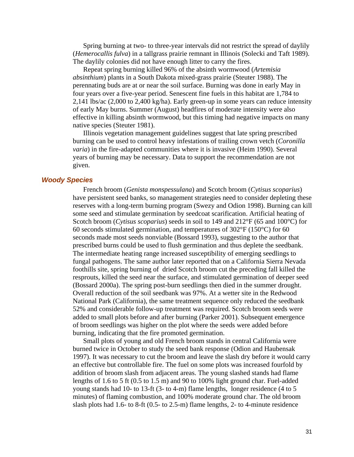<span id="page-30-0"></span>Spring burning at two- to three-year intervals did not restrict the spread of daylily (*Hemerocallis fulva*) in a tallgrass prairie remnant in Illinois (Solecki and Taft 1989). The daylily colonies did not have enough litter to carry the fires.

Repeat spring burning killed 96% of the absinth wormwood (*Artemisia absinthium*) plants in a South Dakota mixed-grass prairie (Steuter 1988). The perennating buds are at or near the soil surface. Burning was done in early May in four years over a five-year period. Senescent fine fuels in this habitat are 1,784 to 2,141 lbs/ac (2,000 to 2,400 kg/ha). Early green-up in some years can reduce intensity of early May burns. Summer (August) headfires of moderate intensity were also effective in killing absinth wormwood, but this timing had negative impacts on many native species (Steuter 1981).

Illinois vegetation management guidelines suggest that late spring prescribed burning can be used to control heavy infestations of trailing crown vetch (*Coronilla varia*) in the fire-adapted communities where it is invasive (Heim 1990). Several years of burning may be necessary. Data to support the recommendation are not given.

#### *Woody Species*

French broom (*Genista monspessulana*) and Scotch broom (*Cytisus scoparius*) have persistent seed banks, so management strategies need to consider depleting these reserves with a long-term burning program (Swezy and Odion 1998). Burning can kill some seed and stimulate germination by seedcoat scarification. Artificial heating of Scotch broom (*Cytisus scoparius*) seeds in soil to 149 and 212°F (65 and 100°C) for 60 seconds stimulated germination, and temperatures of  $302^{\circ}F(150^{\circ}C)$  for 60 seconds made most seeds nonviable (Bossard 1993), suggesting to the author that prescribed burns could be used to flush germination and thus deplete the seedbank. The intermediate heating range increased susceptibility of emerging seedlings to fungal pathogens. The same author later reported that on a California Sierra Nevada foothills site, spring burning of dried Scotch broom cut the preceding fall killed the resprouts, killed the seed near the surface, and stimulated germination of deeper seed (Bossard 2000a). The spring post-burn seedlings then died in the summer drought. Overall reduction of the soil seedbank was 97%. At a wetter site in the Redwood National Park (California), the same treatment sequence only reduced the seedbank 52% and considerable follow-up treatment was required. Scotch broom seeds were added to small plots before and after burning (Parker 2001). Subsequent emergence of broom seedlings was higher on the plot where the seeds were added before burning, indicating that the fire promoted germination.

Small plots of young and old French broom stands in central California were burned twice in October to study the seed bank response (Odion and Haubensak 1997). It was necessary to cut the broom and leave the slash dry before it would carry an effective but controllable fire. The fuel on some plots was increased fourfold by addition of broom slash from adjacent areas. The young slashed stands had flame lengths of 1.6 to 5 ft (0.5 to 1.5 m) and 90 to 100% light ground char. Fuel-added young stands had 10- to 13-ft (3- to 4-m) flame lengths, longer residence (4 to 5 minutes) of flaming combustion, and 100% moderate ground char. The old broom slash plots had 1.6- to 8-ft (0.5- to 2.5-m) flame lengths, 2- to 4-minute residence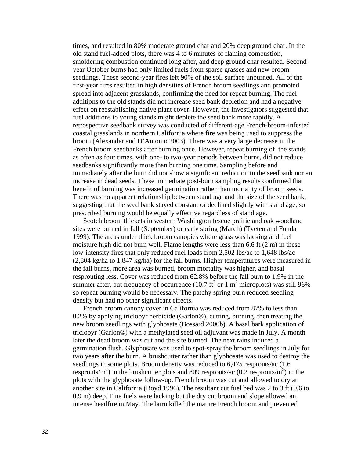times, and resulted in 80% moderate ground char and 20% deep ground char. In the old stand fuel-added plots, there was 4 to 6 minutes of flaming combustion, smoldering combustion continued long after, and deep ground char resulted. Secondyear October burns had only limited fuels from sparse grasses and new broom seedlings. These second-year fires left 90% of the soil surface unburned. All of the first-year fires resulted in high densities of French broom seedlings and promoted spread into adjacent grasslands, confirming the need for repeat burning. The fuel additions to the old stands did not increase seed bank depletion and had a negative effect on reestablishing native plant cover. However, the investigators suggested that fuel additions to young stands might deplete the seed bank more rapidly. A retrospective seedbank survey was conducted of different-age French-broom-infested coastal grasslands in northern California where fire was being used to suppress the broom (Alexander and D'Antonio 2003). There was a very large decrease in the French broom seedbanks after burning once. However, repeat burning of the stands as often as four times, with one- to two-year periods between burns, did not reduce seedbanks significantly more than burning one time. Sampling before and immediately after the burn did not show a significant reduction in the seedbank nor an increase in dead seeds. These immediate post-burn sampling results confirmed that benefit of burning was increased germination rather than mortality of broom seeds. There was no apparent relationship between stand age and the size of the seed bank, suggesting that the seed bank stayed constant or declined slightly with stand age, so prescribed burning would be equally effective regardless of stand age.

Scotch broom thickets in western Washington fescue prairie and oak woodland sites were burned in fall (September) or early spring (March) (Tveten and Fonda 1999). The areas under thick broom canopies where grass was lacking and fuel moisture high did not burn well. Flame lengths were less than 6.6 ft (2 m) in these low-intensity fires that only reduced fuel loads from 2,502 lbs/ac to 1,648 lbs/ac (2,804 kg/ha to 1,847 kg/ha) for the fall burns. Higher temperatures were measured in the fall burns, more area was burned, broom mortality was higher, and basal resprouting less. Cover was reduced from 62.8% before the fall burn to 1.9% in the summer after, but frequency of occurrence (10.7 ft<sup>2</sup> or 1 m<sup>2</sup> microplots) was still 96% so repeat burning would be necessary. The patchy spring burn reduced seedling density but had no other significant effects.

French broom canopy cover in California was reduced from 87% to less than 0.2% by applying triclopyr herbicide (Garlon®), cutting, burning, then treating the new broom seedlings with glyphosate (Bossard 2000b). A basal bark application of triclopyr (Garlon®) with a methylated seed oil adjuvant was made in July. A month later the dead broom was cut and the site burned. The next rains induced a germination flush. Glyphosate was used to spot-spray the broom seedlings in July for two years after the burn. A brushcutter rather than glyphosate was used to destroy the seedlings in some plots. Broom density was reduced to 6,475 resprouts/ac  $(1.6)$ resprouts/ $m<sup>2</sup>$ ) in the brushcutter plots and 809 resprouts/ac (0.2 resprouts/ $m<sup>2</sup>$ ) in the plots with the glyphosate follow-up. French broom was cut and allowed to dry at another site in California (Boyd 1996). The resultant cut fuel bed was 2 to 3 ft (0.6 to 0.9 m) deep. Fine fuels were lacking but the dry cut broom and slope allowed an intense headfire in May. The burn killed the mature French broom and prevented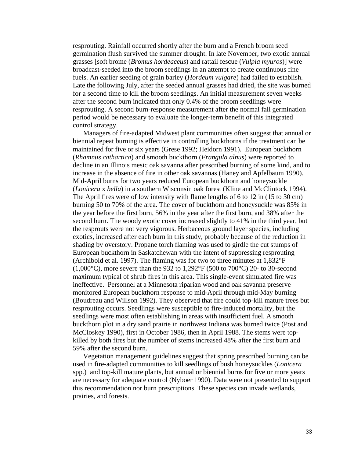resprouting. Rainfall occurred shortly after the burn and a French broom seed germination flush survived the summer drought. In late November, two exotic annual grasses [soft brome (*Bromus hordeaceus*) and rattail fescue (*Vulpia myuros*)] were broadcast-seeded into the broom seedlings in an attempt to create continuous fine fuels. An earlier seeding of grain barley (*Hordeum vulgare*) had failed to establish. Late the following July, after the seeded annual grasses had dried, the site was burned for a second time to kill the broom seedlings. An initial measurement seven weeks after the second burn indicated that only 0.4% of the broom seedlings were resprouting. A second burn-response measurement after the normal fall germination period would be necessary to evaluate the longer-term benefit of this integrated control strategy.

Managers of fire-adapted Midwest plant communities often suggest that annual or biennial repeat burning is effective in controlling buckthorns if the treatment can be maintained for five or six years (Grese 1992; Heidorn 1991). European buckthorn (*Rhamnus cathartica*) and smooth buckthorn (*Frangula alnus*) were reported to decline in an Illinois mesic oak savanna after prescribed burning of some kind, and to increase in the absence of fire in other oak savannas (Haney and Apfelbaum 1990). Mid-April burns for two years reduced European buckthorn and honeysuckle (*Lonicera* x *bella*) in a southern Wisconsin oak forest (Kline and McClintock 1994). The April fires were of low intensity with flame lengths of 6 to 12 in (15 to 30 cm) burning 50 to 70% of the area. The cover of buckthorn and honeysuckle was 85% in the year before the first burn, 56% in the year after the first burn, and 38% after the second burn. The woody exotic cover increased slightly to 41% in the third year, but the resprouts were not very vigorous. Herbaceous ground layer species, including exotics, increased after each burn in this study, probably because of the reduction in shading by overstory. Propane torch flaming was used to girdle the cut stumps of European buckthorn in Saskatchewan with the intent of suppressing resprouting (Archibold et al. 1997). The flaming was for two to three minutes at 1,832°F  $(1,000\textdegree C)$ , more severe than the 932 to 1,292°F (500 to 700°C) 20- to 30-second maximum typical of shrub fires in this area. This single-event simulated fire was ineffective. Personnel at a Minnesota riparian wood and oak savanna preserve monitored European buckthorn response to mid-April through mid-May burning (Boudreau and Willson 1992). They observed that fire could top-kill mature trees but resprouting occurs. Seedlings were susceptible to fire-induced mortality, but the seedlings were most often establishing in areas with insufficient fuel. A smooth buckthorn plot in a dry sand prairie in northwest Indiana was burned twice (Post and McCloskey 1990), first in October 1986, then in April 1988. The stems were topkilled by both fires but the number of stems increased 48% after the first burn and 59% after the second burn.

Vegetation management guidelines suggest that spring prescribed burning can be used in fire-adapted communities to kill seedlings of bush honeysuckles (*Lonicera* spp.) and top-kill mature plants, but annual or biennial burns for five or more years are necessary for adequate control (Nyboer 1990). Data were not presented to support this recommendation nor burn prescriptions. These species can invade wetlands, prairies, and forests.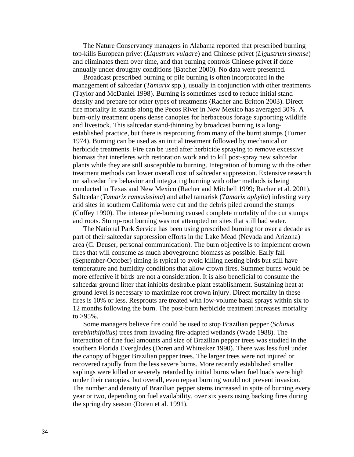The Nature Conservancy managers in Alabama reported that prescribed burning top-kills European privet (*Ligustrum vulgare*) and Chinese privet (*Ligustrum sinense*) and eliminates them over time, and that burning controls Chinese privet if done annually under droughty conditions (Batcher 2000). No data were presented.

Broadcast prescribed burning or pile burning is often incorporated in the management of saltcedar (*Tamarix* spp.), usually in conjunction with other treatments (Taylor and McDaniel 1998). Burning is sometimes used to reduce initial stand density and prepare for other types of treatments (Racher and Britton 2003). Direct fire mortality in stands along the Pecos River in New Mexico has averaged 30%. A burn-only treatment opens dense canopies for herbaceous forage supporting wildlife and livestock. This saltcedar stand-thinning by broadcast burning is a longestablished practice, but there is resprouting from many of the burnt stumps (Turner 1974). Burning can be used as an initial treatment followed by mechanical or herbicide treatments. Fire can be used after herbicide spraying to remove excessive biomass that interferes with restoration work and to kill post-spray new saltcedar plants while they are still susceptible to burning. Integration of burning with the other treatment methods can lower overall cost of saltcedar suppression. Extensive research on saltcedar fire behavior and integrating burning with other methods is being conducted in Texas and New Mexico (Racher and Mitchell 1999; Racher et al. 2001). Saltcedar (*Tamarix ramosissima*) and athel tamarisk (*Tamarix aphylla*) infesting very arid sites in southern California were cut and the debris piled around the stumps (Coffey 1990). The intense pile-burning caused complete mortality of the cut stumps and roots. Stump-root burning was not attempted on sites that still had water.

The National Park Service has been using prescribed burning for over a decade as part of their saltcedar suppression efforts in the Lake Mead (Nevada and Arizona) area (C. Deuser, personal communication). The burn objective is to implement crown fires that will consume as much aboveground biomass as possible. Early fall (September-October) timing is typical to avoid killing nesting birds but still have temperature and humidity conditions that allow crown fires. Summer burns would be more effective if birds are not a consideration. It is also beneficial to consume the saltcedar ground litter that inhibits desirable plant establishment. Sustaining heat at ground level is necessary to maximize root crown injury. Direct mortality in these fires is 10% or less. Resprouts are treated with low-volume basal sprays within six to 12 months following the burn. The post-burn herbicide treatment increases mortality to  $>95%$ .

Some managers believe fire could be used to stop Brazilian pepper (*Schinus terebinthifolius*) trees from invading fire-adapted wetlands (Wade 1988). The interaction of fine fuel amounts and size of Brazilian pepper trees was studied in the southern Florida Everglades (Doren and Whiteaker 1990). There was less fuel under the canopy of bigger Brazilian pepper trees. The larger trees were not injured or recovered rapidly from the less severe burns. More recently established smaller saplings were killed or severely retarded by initial burns when fuel loads were high under their canopies, but overall, even repeat burning would not prevent invasion. The number and density of Brazilian pepper stems increased in spite of burning every year or two, depending on fuel availability, over six years using backing fires during the spring dry season (Doren et al. 1991).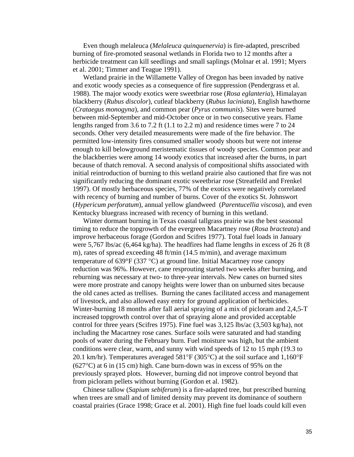Even though melaleuca (*Melaleuca quinquenervia*) is fire-adapted, prescribed burning of fire-promoted seasonal wetlands in Florida two to 12 months after a herbicide treatment can kill seedlings and small saplings (Molnar et al. 1991; Myers et al. 2001; Timmer and Teague 1991).

Wetland prairie in the Willamette Valley of Oregon has been invaded by native and exotic woody species as a consequence of fire suppression (Pendergrass et al. 1988). The major woody exotics were sweetbriar rose (*Rosa eglanteria*), Himalayan blackberry (*Rubus discolor*), cutleaf blackberry (*Rubus laciniata*), English hawthorne (*Crataegus monogyna*), and common pear (*Pyrus communis*). Sites were burned between mid-September and mid-October once or in two consecutive years. Flame lengths ranged from 3.6 to 7.2 ft (1.1 to 2.2 m) and residence times were 7 to 24 seconds. Other very detailed measurements were made of the fire behavior. The permitted low-intensity fires consumed smaller woody shoots but were not intense enough to kill belowground meristematic tissues of woody species. Common pear and the blackberries were among 14 woody exotics that increased after the burns, in part because of thatch removal. A second analysis of compositional shifts associated with initial reintroduction of burning to this wetland prairie also cautioned that fire was not significantly reducing the dominant exotic sweetbriar rose (Streatfeild and Frenkel 1997). Of mostly herbaceous species, 77% of the exotics were negatively correlated with recency of burning and number of burns. Cover of the exotics St. Johnswort (*Hypericum perforatum*), annual yellow glandweed (*Parentucellia viscosa*), and even Kentucky bluegrass increased with recency of burning in this wetland.

Winter dormant burning in Texas coastal tallgrass prairie was the best seasonal timing to reduce the topgrowth of the evergreen Macartney rose (*Rosa bracteata*) and improve herbaceous forage (Gordon and Scifres 1977). Total fuel loads in January were 5,767 lbs/ac (6,464 kg/ha). The headfires had flame lengths in excess of 26 ft (8 m), rates of spread exceeding 48 ft/min (14.5 m/min), and average maximum temperature of 639 $\degree$ F (337 $\degree$ C) at ground line. Initial Macartney rose canopy reduction was 96%. However, cane resprouting started two weeks after burning, and reburning was necessary at two- to three-year intervals. New canes on burned sites were more prostrate and canopy heights were lower than on unburned sites because the old canes acted as trellises. Burning the canes facilitated access and management of livestock, and also allowed easy entry for ground application of herbicides. Winter-burning 18 months after fall aerial spraying of a mix of picloram and 2,4,5-T increased topgrowth control over that of spraying alone and provided acceptable control for three years (Scifres 1975). Fine fuel was 3,125 lbs/ac (3,503 kg/ha), not including the Macartney rose canes. Surface soils were saturated and had standing pools of water during the February burn. Fuel moisture was high, but the ambient conditions were clear, warm, and sunny with wind speeds of 12 to 15 mph (19.3 to 20.1 km/hr). Temperatures averaged 581°F (305°C) at the soil surface and 1,160°F (627°C) at 6 in (15 cm) high. Cane burn-down was in excess of 95% on the previously sprayed plots. However, burning did not improve control beyond that from picloram pellets without burning (Gordon et al. 1982).

Chinese tallow (*Sapium sebiferum*) is a fire-adapted tree, but prescribed burning when trees are small and of limited density may prevent its dominance of southern coastal prairies (Grace 1998; Grace et al. 2001). High fine fuel loads could kill even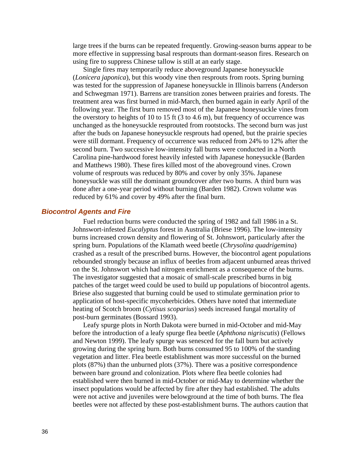<span id="page-35-0"></span>large trees if the burns can be repeated frequently. Growing-season burns appear to be more effective in suppressing basal resprouts than dormant-season fires. Research on using fire to suppress Chinese tallow is still at an early stage.

Single fires may temporarily reduce aboveground Japanese honeysuckle (*Lonicera japonica*), but this woody vine then resprouts from roots. Spring burning was tested for the suppression of Japanese honeysuckle in Illinois barrens (Anderson and Schwegman 1971). Barrens are transition zones between prairies and forests. The treatment area was first burned in mid-March, then burned again in early April of the following year. The first burn removed most of the Japanese honeysuckle vines from the overstory to heights of 10 to 15 ft (3 to 4.6 m), but frequency of occurrence was unchanged as the honeysuckle resprouted from rootstocks. The second burn was just after the buds on Japanese honeysuckle resprouts had opened, but the prairie species were still dormant. Frequency of occurrence was reduced from 24% to 12% after the second burn. Two successive low-intensity fall burns were conducted in a North Carolina pine-hardwood forest heavily infested with Japanese honeysuckle (Barden and Matthews 1980). These fires killed most of the aboveground vines. Crown volume of resprouts was reduced by 80% and cover by only 35%. Japanese honeysuckle was still the dominant groundcover after two burns. A third burn was done after a one-year period without burning (Barden 1982). Crown volume was reduced by 61% and cover by 49% after the final burn.

#### *Biocontrol Agents and Fire*

Fuel reduction burns were conducted the spring of 1982 and fall 1986 in a St. Johnswort-infested *Eucalyptus* forest in Australia (Briese 1996). The low-intensity burns increased crown density and flowering of St. Johnswort, particularly after the spring burn. Populations of the Klamath weed beetle (*Chrysolina quadrigemina*) crashed as a result of the prescribed burns. However, the biocontrol agent populations rebounded strongly because an influx of beetles from adjacent unburned areas thrived on the St. Johnswort which had nitrogen enrichment as a consequence of the burns. The investigator suggested that a mosaic of small-scale prescribed burns in big patches of the target weed could be used to build up populations of biocontrol agents. Briese also suggested that burning could be used to stimulate germination prior to application of host-specific mycoherbicides. Others have noted that intermediate heating of Scotch broom (*Cytisus scoparius*) seeds increased fungal mortality of post-burn germinates (Bossard 1993).

Leafy spurge plots in North Dakota were burned in mid-October and mid-May before the introduction of a leafy spurge flea beetle (*Aphthona nigriscutis*) (Fellows and Newton 1999). The leafy spurge was senesced for the fall burn but actively growing during the spring burn. Both burns consumed 95 to 100% of the standing vegetation and litter. Flea beetle establishment was more successful on the burned plots (87%) than the unburned plots (37%). There was a positive correspondence between bare ground and colonization. Plots where flea beetle colonies had established were then burned in mid-October or mid-May to determine whether the insect populations would be affected by fire after they had established. The adults were not active and juveniles were belowground at the time of both burns. The flea beetles were not affected by these post-establishment burns. The authors caution that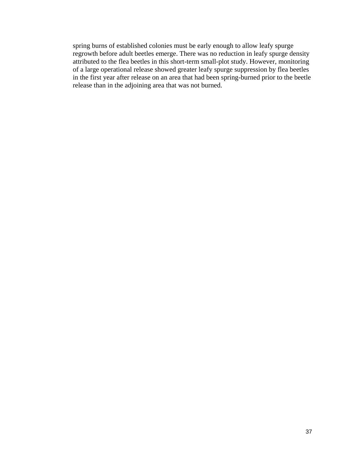spring burns of established colonies must be early enough to allow leafy spurge regrowth before adult beetles emerge. There was no reduction in leafy spurge density attributed to the flea beetles in this short-term small-plot study. However, monitoring of a large operational release showed greater leafy spurge suppression by flea beetles in the first year after release on an area that had been spring-burned prior to the beetle release than in the adjoining area that was not burned.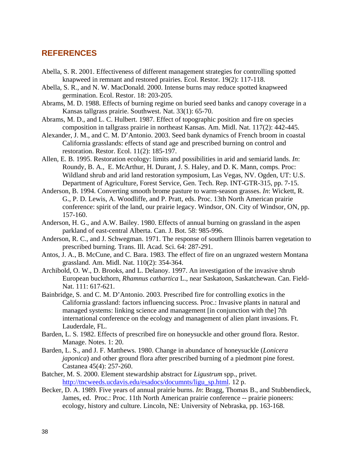# <span id="page-37-0"></span>**REFERENCES**

- Abella, S. R. 2001. Effectiveness of different management strategies for controlling spotted knapweed in remnant and restored prairies. Ecol. Restor. 19(2): 117-118.
- Abella, S. R., and N. W. MacDonald. 2000. Intense burns may reduce spotted knapweed germination. Ecol. Restor. 18: 203-205.
- Abrams, M. D. 1988. Effects of burning regime on buried seed banks and canopy coverage in a Kansas tallgrass prairie. Southwest. Nat. 33(1): 65-70.
- Abrams, M. D., and L. C. Hulbert. 1987. Effect of topographic position and fire on species composition in tallgrass prairie in northeast Kansas. Am. Midl. Nat. 117(2): 442-445.
- Alexander, J. M., and C. M. D'Antonio. 2003. Seed bank dynamics of French broom in coastal California grasslands: effects of stand age and prescribed burning on control and restoration. Restor. Ecol. 11(2): 185-197.
- Allen, E. B. 1995. Restoration ecology: limits and possibilities in arid and semiarid lands. *In*: Roundy, B. A., E. McArthur, H. Durant, J. S. Haley, and D. K. Mann, comps. Proc: Wildland shrub and arid land restoration symposium, Las Vegas, NV. Ogden, UT: U.S. Department of Agriculture, Forest Service, Gen. Tech. Rep. INT-GTR-315, pp. 7-15.
- Anderson, B. 1994. Converting smooth brome pasture to warm-season grasses. *In*: Wickett, R. G., P. D. Lewis, A. Woodliffe, and P. Pratt, eds. Proc. 13th North American prairie conference: spirit of the land, our prairie legacy. Windsor, ON. City of Windsor, ON, pp. 157-160.
- Anderson, H. G., and A.W. Bailey. 1980. Effects of annual burning on grassland in the aspen parkland of east-central Alberta. Can. J. Bot. 58: 985-996.
- Anderson, R. C., and J. Schwegman. 1971. The response of southern Illinois barren vegetation to prescribed burning. Trans. Ill. Acad. Sci. 64: 287-291.
- Antos, J. A., B. McCune, and C. Bara. 1983. The effect of fire on an ungrazed western Montana grassland. Am. Midl. Nat. 110(2): 354-364.
- Archibold, O. W., D. Brooks, and L. Delanoy. 1997. An investigation of the invasive shrub European buckthorn, *Rhamnus cathartica* L., near Saskatoon, Saskatchewan. Can. Field-Nat. 111: 617-621.
- Bainbridge, S. and C. M. D'Antonio. 2003. Prescribed fire for controlling exotics in the California grassland: factors influencing success. Proc.: Invasive plants in natural and managed systems: linking science and management [in conjunction with the] 7th international conference on the ecology and management of alien plant invasions. Ft. Lauderdale, FL.
- Barden, L. S. 1982. Effects of prescribed fire on honeysuckle and other ground flora. Restor. Manage. Notes. 1: 20.
- Barden, L. S., and J. F. Matthews. 1980. Change in abundance of honeysuckle (*Lonicera japonica*) and other ground flora after prescribed burning of a piedmont pine forest. Castanea 45(4): 257-260.
- Batcher, M. S. 2000. Element stewardship abstract for *Ligustrum* spp., privet. [http://tncweeds.ucdavis.edu/esadocs/documnts/ligu\\_sp.html.](http://tncweeds.ucdavis.edu/esadocs/documnts/ligu_sp.html) 12 p.
- Becker, D. A. 1989. Five years of annual prairie burns. *In*: Bragg, Thomas B., and Stubbendieck, James, ed. Proc.: Proc. 11th North American prairie conference -- prairie pioneers: ecology, history and culture. Lincoln, NE: University of Nebraska, pp. 163-168.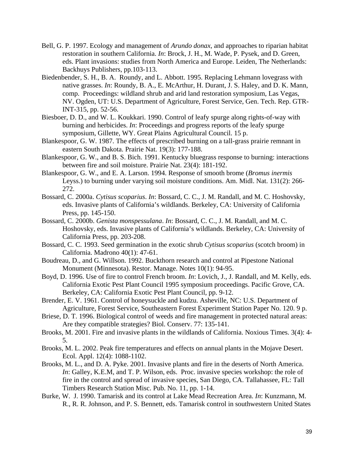- Bell, G. P. 1997. Ecology and management of *Arundo donax*, and approaches to riparian habitat restoration in southern California. *In*: Brock, J. H., M. Wade, P. Pysek, and D. Green, eds. Plant invasions: studies from North America and Europe. Leiden, The Netherlands: Backhuys Publishers, pp.103-113.
- Biedenbender, S. H., B. A. Roundy, and L. Abbott. 1995. Replacing Lehmann lovegrass with native grasses. *In*: Roundy, B. A., E. McArthur, H. Durant, J. S. Haley, and D. K. Mann, comp. Proceedings: wildland shrub and arid land restoration symposium, Las Vegas, NV. Ogden, UT: U.S. Department of Agriculture, Forest Service, Gen. Tech. Rep. GTR-INT-315, pp. 52-56.
- Biesboer, D. D., and W. L. Koukkari. 1990. Control of leafy spurge along rights-of-way with burning and herbicides. *In*: Proceedings and progress reports of the leafy spurge symposium, Gillette, WY. Great Plains Agricultural Council. 15 p.
- Blankespoor, G. W. 1987. The effects of prescribed burning on a tall-grass prairie remnant in eastern South Dakota. Prairie Nat. 19(3): 177-188.
- Blankespoor, G. W., and B. S. Bich. 1991. Kentucky bluegrass response to burning: interactions between fire and soil moisture. Prairie Nat. 23(4): 181-192.
- Blankespoor, G. W., and E. A. Larson. 1994. Response of smooth brome (*Bromus inermis* Leyss.) to burning under varying soil moisture conditions. Am. Midl. Nat. 131(2): 266- 272.
- Bossard, C. 2000a. *Cytisus scoparius*. *In*: Bossard, C. C., J. M. Randall, and M. C. Hoshovsky, eds. Invasive plants of California's wildlands. Berkeley, CA: University of California Press, pp. 145-150.
- Bossard, C. 2000b. *Genista monspessulana*. *In*: Bossard, C. C., J. M. Randall, and M. C. Hoshovsky, eds. Invasive plants of California's wildlands. Berkeley, CA: University of California Press, pp. 203-208.
- Bossard, C. C. 1993. Seed germination in the exotic shrub *Cytisus scoparius* (scotch broom) in California. Madrono 40(1): 47-61.
- Boudreau, D., and G. Willson. 1992. Buckthorn research and control at Pipestone National Monument (Minnesota). Restor. Manage. Notes 10(1): 94-95.
- Boyd, D. 1996. Use of fire to control French broom. *In*: Lovich, J., J. Randall, and M. Kelly, eds. California Exotic Pest Plant Council 1995 symposium proceedings. Pacific Grove, CA. Berkeley, CA: California Exotic Pest Plant Council, pp. 9-12.
- Brender, E. V. 1961. Control of honeysuckle and kudzu. Asheville, NC: U.S. Department of Agriculture, Forest Service, Southeastern Forest Experiment Station Paper No. 120. 9 p.
- Briese, D. T. 1996. Biological control of weeds and fire management in protected natural areas: Are they compatible strategies? Biol. Conserv. 77: 135-141.
- Brooks, M. 2001. Fire and invasive plants in the wildlands of California. Noxious Times. 3(4): 4- 5.
- Brooks, M. L. 2002. Peak fire temperatures and effects on annual plants in the Mojave Desert. Ecol. Appl. 12(4): 1088-1102.
- Brooks, M. L., and D. A. Pyke. 2001. Invasive plants and fire in the deserts of North America. *In*: Galley, K.E.M, and T. P. Wilson, eds. Proc. invasive species workshop: the role of fire in the control and spread of invasive species, San Diego, CA. Tallahassee, FL: Tall Timbers Research Station Misc. Pub. No. 11, pp. 1-14.
- Burke, W. J. 1990. Tamarisk and its control at Lake Mead Recreation Area. *In*: Kunzmann, M. R., R. R. Johnson, and P. S. Bennett, eds. Tamarisk control in southwestern United States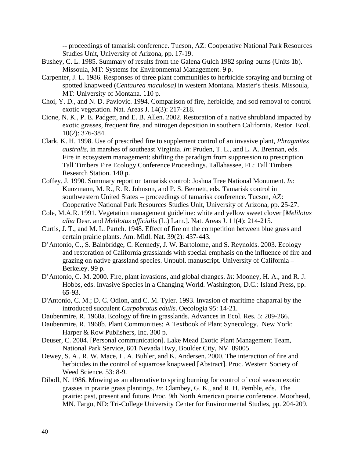-- proceedings of tamarisk conference. Tucson, AZ: Cooperative National Park Resources Studies Unit, University of Arizona, pp. 17-19.

- Bushey, C. L. 1985. Summary of results from the Galena Gulch 1982 spring burns (Units 1b). Missoula, MT: Systems for Environmental Management. 9 p.
- Carpenter, J. L. 1986. Responses of three plant communities to herbicide spraying and burning of spotted knapweed (*Centaurea maculosa)* in western Montana. Master's thesis. Missoula, MT: University of Montana. 110 p.
- Choi, Y. D., and N. D. Pavlovic. 1994. Comparison of fire, herbicide, and sod removal to control exotic vegetation. Nat. Areas J. 14(3): 217-218.
- Cione, N. K., P. E. Padgett, and E. B. Allen. 2002. Restoration of a native shrubland impacted by exotic grasses, frequent fire, and nitrogen deposition in southern California. Restor. Ecol. 10(2): 376-384.
- Clark, K. H. 1998. Use of prescribed fire to supplement control of an invasive plant, *Phragmites australis*, in marshes of southeast Virginia. *In*: Pruden, T. L., and L. A. Brennan, eds. Fire in ecosystem management: shifting the paradigm from suppression to prescription. Tall Timbers Fire Ecology Conference Proceedings. Tallahassee, FL: Tall Timbers Research Station. 140 p.
- Coffey, J. 1990. Summary report on tamarisk control: Joshua Tree National Monument. *In*: Kunzmann, M. R., R. R. Johnson, and P. S. Bennett, eds. Tamarisk control in southwestern United States -- proceedings of tamarisk conference. Tucson, AZ: Cooperative National Park Resources Studies Unit, University of Arizona, pp. 25-27.
- Cole, M.A.R. 1991. Vegetation management guideline: white and yellow sweet clover [*Melilotus alba* Desr. and *Melilotus officialis* (L.) Lam.]. Nat. Areas J. 11(4): 214-215.
- Curtis, J. T., and M. L. Partch. 1948. Effect of fire on the competition between blue grass and certain prairie plants. Am. Midl. Nat. 39(2): 437-443.
- D'Antonio, C., S. Bainbridge, C. Kennedy, J. W. Bartolome, and S. Reynolds. 2003. Ecology and restoration of California grasslands with special emphasis on the influence of fire and grazing on native grassland species. Unpubl. manuscript. University of California – Berkeley. 99 p.
- D'Antonio, C. M. 2000. Fire, plant invasions, and global changes. *In*: Mooney, H. A., and R. J. Hobbs, eds. Invasive Species in a Changing World. Washington, D.C.: Island Press, pp. 65-93.
- D'Antonio, C. M.; D. C. Odion, and C. M. Tyler. 1993. Invasion of maritime chaparral by the introduced succulent *Carpobrotus edulis*. Oecologia 95: 14-21.
- Daubenmire, R. 1968a. Ecology of fire in grasslands. Advances in Ecol. Res. 5: 209-266.
- Daubenmire, R. 1968b. Plant Communities: A Textbook of Plant Synecology. New York: Harper & Row Publishers, Inc. 300 p.
- Deuser, C. 2004. [Personal communication]. Lake Mead Exotic Plant Management Team, National Park Service, 601 Nevada Hwy, Boulder City, NV 89005.
- Dewey, S. A., R. W. Mace, L. A. Buhler, and K. Andersen. 2000. The interaction of fire and herbicides in the control of squarrose knapweed [Abstract]. Proc. Western Society of Weed Science. 53: 8-9.
- Diboll, N. 1986. Mowing as an alternative to spring burning for control of cool season exotic grasses in prairie grass plantings. *In*: Clambey, G. K., and R. H. Pemble, eds. The prairie: past, present and future. Proc. 9th North American prairie conference. Moorhead, MN. Fargo, ND: Tri-College University Center for Environmental Studies, pp. 204-209.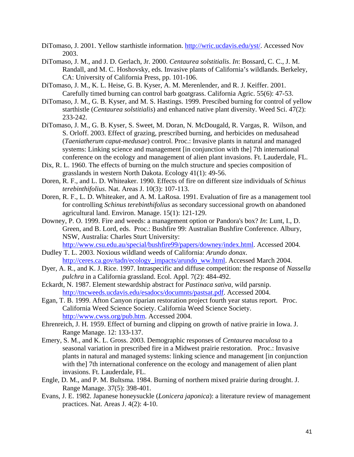- DiTomaso, J. 2001. Yellow starthistle information. [http://wric.ucdavis.edu/yst/.](http://wric.ucdavis.edu/yst/) Accessed Nov 2003.
- DiTomaso, J. M., and J. D. Gerlach, Jr. 2000. *Centaurea solstitialis*. *In*: Bossard, C. C., J. M. Randall, and M. C. Hoshovsky, eds. Invasive plants of California's wildlands. Berkeley, CA: University of California Press, pp. 101-106.
- DiTomaso, J. M., K. L. Heise, G. B. Kyser, A. M. Merenlender, and R. J. Keiffer. 2001. Carefully timed burning can control barb goatgrass. California Agric. 55(6): 47-53.
- DiTomaso, J. M., G. B. Kyser, and M. S. Hastings. 1999. Prescibed burning for control of yellow starthistle (*Centaurea solstitialis*) and enhanced native plant diversity. Weed Sci. 47(2): 233-242.
- DiTomaso, J. M., G. B. Kyser, S. Sweet, M. Doran, N. McDougald, R. Vargas, R. Wilson, and S. Orloff. 2003. Effect of grazing, prescribed burning, and herbicides on medusahead (*Taeniatherum caput-medusae*) control. Proc.: Invasive plants in natural and managed systems: Linking science and management [in conjunction with the] 7th international conference on the ecology and management of alien plant invasions. Ft. Lauderdale, FL.
- Dix, R. L. 1960. The effects of burning on the mulch structure and species composition of grasslands in western North Dakota. Ecology 41(1): 49-56.
- Doren, R. F., and L. D. Whiteaker. 1990. Effects of fire on different size individuals of *Schinus terebinthifolius*. Nat. Areas J. 10(3): 107-113.
- Doren, R. F., L. D. Whiteaker, and A. M. LaRosa. 1991. Evaluation of fire as a management tool for controlling *Schinus terebinthifolius* as secondary successional growth on abandoned agricultural land. Environ. Manage. 15(1): 121-129.
- Downey, P. O. 1999. Fire and weeds: a management option or Pandora's box? *In*: Lunt, I., D. Green, and B. Lord, eds. Proc.: Bushfire 99: Australian Bushfire Conference. Albury, NSW, Australia: Charles Sturt University: [http://www.csu.edu.au/special/bushfire99/papers/downey/index.html.](http://www.csu.edu.au/special/bushfire99/papers/downey/index.html) Accessed 2004.
- Dudley T. L. 2003. Noxious wildland weeds of California: *Arundo donax*. [http://ceres.ca.gov/tadn/ecology\\_impacts/arundo\\_ww.html.](http://ceres.ca.gov/tadn/ecology_impacts/arundo_ww.html) Accessed March 2004.
- Dyer, A. R., and K. J. Rice. 1997. Intraspecific and diffuse competition: the response of *Nassella pulchra* in a California grassland. Ecol. Appl. 7(2): 484-492.
- Eckardt, N. 1987. Element stewardship abstract for *Pastinaca sativa*, wild parsnip. [http://tncweeds.ucdavis.edu/esadocs/documnts/pastsat.pdf.](http://tncweeds.ucdavis.edu/esadocs/documnts/pastsat.pdf) Accessed 2004.
- Egan, T. B. 1999. Afton Canyon riparian restoration project fourth year status report. Proc. California Weed Science Society. California Weed Science Society. [http://www.cwss.org/pub.htm.](http://www.cwss.org/pub.htm) Accessed 2004.
- Ehrenreich, J. H. 1959. Effect of burning and clipping on growth of native prairie in Iowa. J. Range Manage. 12: 133-137.
- Emery, S. M., and K. L. Gross. 2003. Demographic responses of *Centaurea maculosa* to a seasonal variation in prescribed fire in a Midwest prairie restoration. Proc.: Invasive plants in natural and managed systems: linking science and management [in conjunction with the] 7th international conference on the ecology and management of alien plant invasions. Ft. Lauderdale, FL.
- Engle, D. M., and P. M. Bultsma. 1984. Burning of northern mixed prairie during drought. J. Range Manage. 37(5): 398-401.
- Evans, J. E. 1982. Japanese honeysuckle (*Lonicera japonica*): a literature review of management practices. Nat. Areas J. 4(2): 4-10.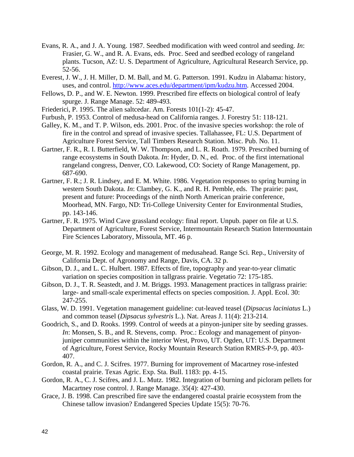- Evans, R. A., and J. A. Young. 1987. Seedbed modification with weed control and seeding. *In*: Frasier, G. W., and R. A. Evans, eds. Proc. Seed and seedbed ecology of rangeland plants. Tucson, AZ: U. S. Department of Agriculture, Agricultural Research Service, pp. 52-56.
- Everest, J. W., J. H. Miller, D. M. Ball, and M. G. Patterson. 1991. Kudzu in Alabama: history, uses, and control.<http://www.aces.edu/department/ipm/kudzu.htm>. Accessed 2004.
- Fellows, D. P., and W. E. Newton. 1999. Prescribed fire effects on biological control of leafy spurge. J. Range Manage. 52: 489-493.
- Friederici, P. 1995. The alien saltcedar. Am. Forests 101(1-2): 45-47.
- Furbush, P. 1953. Control of medusa-head on California ranges. J. Forestry 51: 118-121.
- Galley, K. M., and T. P. Wilson, eds. 2001. Proc. of the invasive species workshop: the role of fire in the control and spread of invasive species. Tallahassee, FL: U.S. Department of Agriculture Forest Service, Tall Timbers Research Station. Misc. Pub. No. 11.
- Gartner, F. R., R. I. Butterfield, W. W. Thompson, and L. R. Roath. 1979. Prescribed burning of range ecosystems in South Dakota. *In*: Hyder, D. N., ed. Proc. of the first international rangeland congress, Denver, CO. Lakewood, CO: Society of Range Management, pp. 687-690.
- Gartner, F. R.; J. R. Lindsey, and E. M. White. 1986. Vegetation responses to spring burning in western South Dakota. *In*: Clambey, G. K., and R. H. Pemble, eds. The prairie: past, present and future: Proceedings of the ninth North American prairie conference, Moorhead, MN. Fargo, ND: Tri-College University Center for Environmental Studies, pp. 143-146.
- Gartner, F. R. 1975. Wind Cave grassland ecology: final report. Unpub. paper on file at U.S. Department of Agriculture, Forest Service, Intermountain Research Station Intermountain Fire Sciences Laboratory, Missoula, MT. 46 p.
- George, M. R. 1992. Ecology and management of medusahead. Range Sci. Rep., University of California Dept. of Agronomy and Range, Davis, CA. 32 p.
- Gibson, D. J., and L. C. Hulbert. 1987. Effects of fire, topography and year-to-year climatic variation on species composition in tallgrass prairie. Vegetatio 72: 175-185.
- Gibson, D. J., T. R. Seastedt, and J. M. Briggs. 1993. Management practices in tallgrass prairie: large- and small-scale experimental effects on species composition. J. Appl. Ecol. 30: 247-255.
- Glass, W. D. 1991. Vegetation management guideline: cut-leaved teasel (*Dipsacus laciniatus* L.) and common teasel (*Dipsacus sylvestris* L.). Nat. Areas J. 11(4): 213-214.
- Goodrich, S., and D. Rooks. 1999. Control of weeds at a pinyon-juniper site by seeding grasses. *In*: Monsen, S. B., and R. Stevens, comp. Proc.: Ecology and management of pinyonjuniper communities within the interior West, Provo, UT. Ogden, UT: U.S. Department of Agriculture, Forest Service, Rocky Mountain Research Station RMRS-P-9, pp. 403- 407.
- Gordon, R. A., and C. J. Scifres. 1977. Burning for improvement of Macartney rose-infested coastal prairie. Texas Agric. Exp. Sta. Bull. 1183: pp. 4-15.
- Gordon, R. A., C. J. Scifres, and J. L. Mutz. 1982. Integration of burning and picloram pellets for Macartney rose control. J. Range Manage. 35(4): 427-430.
- Grace, J. B. 1998. Can prescribed fire save the endangered coastal prairie ecosystem from the Chinese tallow invasion? Endangered Species Update 15(5): 70-76.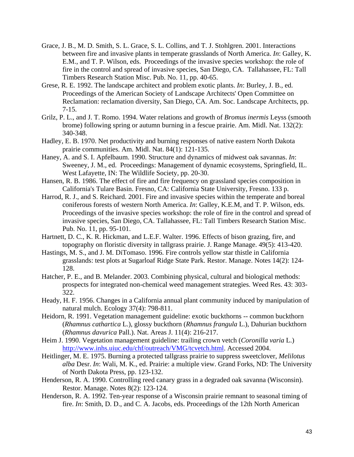- Grace, J. B., M. D. Smith, S. L. Grace, S. L. Collins, and T. J. Stohlgren. 2001. Interactions between fire and invasive plants in temperate grasslands of North America. *In*: Galley, K. E.M., and T. P. Wilson, eds. Proceedings of the invasive species workshop: the role of fire in the control and spread of invasive species, San Diego, CA. Tallahassee, FL: Tall Timbers Research Station Misc. Pub. No. 11, pp. 40-65.
- Grese, R. E. 1992. The landscape architect and problem exotic plants. *In*: Burley, J. B., ed. Proceedings of the American Society of Landscape Architects' Open Committee on Reclamation: reclamation diversity, San Diego, CA. Am. Soc. Landscape Architects, pp. 7-15.
- Grilz, P. L., and J. T. Romo. 1994. Water relations and growth of *Bromus inermis* Leyss (smooth brome) following spring or autumn burning in a fescue prairie. Am. Midl. Nat. 132(2): 340-348.
- Hadley, E. B. 1970. Net productivity and burning responses of native eastern North Dakota prairie communities. Am. Midl. Nat. 84(1): 121-135.
- Haney, A. and S. I. Apfelbaum. 1990. Structure and dynamics of midwest oak savannas. *In*: Sweeney, J. M., ed. Proceedings: Management of dynamic ecosystems, Springfield, IL. West Lafayette, IN: The Wildlife Society, pp. 20-30.
- Hansen, R. B. 1986. The effect of fire and fire frequency on grassland species composition in California's Tulare Basin. Fresno, CA: California State University, Fresno. 133 p.
- Harrod, R. J., and S. Reichard. 2001. Fire and invasive species within the temperate and boreal coniferous forests of western North America. *In*: Galley, K.E.M, and T. P. Wilson, eds. Proceedings of the invasive species workshop: the role of fire in the control and spread of invasive species, San Diego, CA. Tallahassee, FL: Tall Timbers Research Station Misc. Pub. No. 11, pp. 95-101.
- Hartnett, D. C., K. R. Hickman, and L.E.F. Walter. 1996. Effects of bison grazing, fire, and topography on floristic diversity in tallgrass prairie. J. Range Manage. 49(5): 413-420.
- Hastings, M. S., and J. M. DiTomaso. 1996. Fire controls yellow star thistle in California grasslands: test plots at Sugarloaf Ridge State Park. Restor. Manage. Notes 14(2): 124- 128.
- Hatcher, P. E., and B. Melander. 2003. Combining physical, cultural and biological methods: prospects for integrated non-chemical weed management strategies. Weed Res. 43: 303- 322.
- Heady, H. F. 1956. Changes in a California annual plant community induced by manipulation of natural mulch. Ecology 37(4): 798-811.
- Heidorn, R. 1991. Vegetation management guideline: exotic buckthorns -- common buckthorn (*Rhamnus cathartica* L.), glossy buckthorn (*Rhamnus frangula* L.), Dahurian buckthorn (*Rhamnus davurica* Pall.). Nat. Areas J. 11(4): 216-217.
- Heim J. 1990. Vegetation management guideline: trailing crown vetch (*Coronilla varia* L.) <http://www.inhs.uiuc.edu/chf/outreach/VMG/tcvetch.html>. Accessed 2004.
- Heitlinger, M. E. 1975. Burning a protected tallgrass prairie to suppress sweetclover, *Melilotus alba* Desr. *In*: Wali, M. K., ed. Prairie: a multiple view. Grand Forks, ND: The University of North Dakota Press, pp. 123-132.
- Henderson, R. A. 1990. Controlling reed canary grass in a degraded oak savanna (Wisconsin). Restor. Manage. Notes 8(2): 123-124.
- Henderson, R. A. 1992. Ten-year response of a Wisconsin prairie remnant to seasonal timing of fire. *In*: Smith, D. D., and C. A. Jacobs, eds. Proceedings of the 12th North American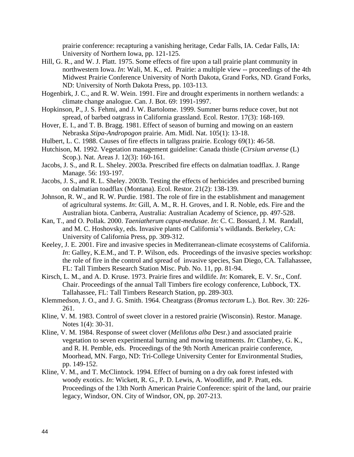prairie conference: recapturing a vanishing heritage, Cedar Falls, IA. Cedar Falls, IA: University of Northern Iowa, pp. 121-125.

- Hill, G. R., and W. J. Platt. 1975. Some effects of fire upon a tall prairie plant community in northwestern Iowa. *In*: Wali, M. K., ed. Prairie: a multiple view -- proceedings of the 4th Midwest Prairie Conference University of North Dakota, Grand Forks, ND. Grand Forks, ND: University of North Dakota Press, pp. 103-113.
- Hogenbirk, J. C., and R. W. Wein. 1991. Fire and drought experiments in northern wetlands: a climate change analogue. Can. J. Bot. 69: 1991-1997.
- Hopkinson, P., J. S. Fehmi, and J. W. Bartolome. 1999. Summer burns reduce cover, but not spread, of barbed oatgrass in California grassland. Ecol. Restor. 17(3): 168-169.
- Hover, E. I., and T. B. Bragg. 1981. Effect of season of burning and mowing on an eastern Nebraska *Stipa-Andropogon* prairie. Am. Midl. Nat. 105(1): 13-18.
- Hulbert, L. C. 1988. Causes of fire effects in tallgrass prairie. Ecology 69(1): 46-58.
- Hutchison, M. 1992. Vegetation management guideline: Canada thistle (*Cirsium arvense* (L) Scop.). Nat. Areas J. 12(3): 160-161.
- Jacobs, J. S., and R. L. Sheley. 2003a. Prescribed fire effects on dalmatian toadflax. J. Range Manage. 56: 193-197.
- Jacobs, J. S., and R. L. Sheley. 2003b. Testing the effects of herbicides and prescribed burning on dalmatian toadflax (Montana). Ecol. Restor. 21(2): 138-139.
- Johnson, R. W., and R. W. Purdie. 1981. The role of fire in the establishment and management of agricultural systems. *In*: Gill, A. M., R. H. Groves, and I. R. Noble, eds. Fire and the Australian biota. Canberra, Australia: Australian Academy of Science, pp. 497-528.
- Kan, T., and O. Pollak. 2000. *Taeniatherum caput-medusae*. *In*: C. C. Bossard, J. M. Randall, and M. C. Hoshovsky, eds. Invasive plants of California's wildlands. Berkeley, CA: University of California Press, pp. 309-312.
- Keeley, J. E. 2001. Fire and invasive species in Mediterranean-climate ecosystems of California. *In*: Galley, K.E.M., and T. P. Wilson, eds. Proceedings of the invasive species workshop: the role of fire in the control and spread of invasive species, San Diego, CA. Tallahassee, FL: Tall Timbers Research Station Misc. Pub. No. 11, pp. 81-94.
- Kirsch, L. M., and A. D. Kruse. 1973. Prairie fires and wildlife. *In*: Komarek, E. V. Sr., Conf. Chair. Proceedings of the annual Tall Timbers fire ecology conference, Lubbock, TX. Tallahassee, FL: Tall Timbers Research Station, pp. 289-303.
- Klemmedson, J. O., and J. G. Smith. 1964. Cheatgrass (*Bromus tectorum* L.). Bot. Rev. 30: 226- 261.
- Kline, V. M. 1983. Control of sweet clover in a restored prairie (Wisconsin). Restor. Manage. Notes 1(4): 30-31.
- Kline, V. M. 1984. Response of sweet clover (*Melilotus alba* Desr.) and associated prairie vegetation to seven experimental burning and mowing treatments. *In*: Clambey, G. K., and R. H. Pemble, eds. Proceedings of the 9th North American prairie conference, Moorhead, MN. Fargo, ND: Tri-College University Center for Environmental Studies, pp. 149-152.
- Kline, V. M., and T. McClintock. 1994. Effect of burning on a dry oak forest infested with woody exotics. *In*: Wickett, R. G., P. D. Lewis, A. Woodliffe, and P. Pratt, eds. Proceedings of the 13th North American Prairie Conference: spirit of the land, our prairie legacy, Windsor, ON. City of Windsor, ON, pp. 207-213.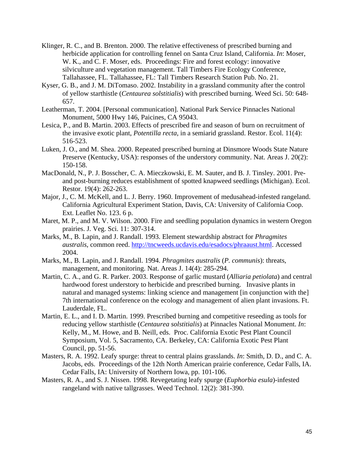- Klinger, R. C., and B. Brenton. 2000. The relative effectiveness of prescribed burning and herbicide application for controlling fennel on Santa Cruz Island, California. *In*: Moser, W. K., and C. F. Moser, eds. Proceedings: Fire and forest ecology: innovative silviculture and vegetation management. Tall Timbers Fire Ecology Conference, Tallahassee, FL. Tallahassee, FL: Tall Timbers Research Station Pub. No. 21.
- Kyser, G. B., and J. M. DiTomaso. 2002. Instability in a grassland community after the control of yellow starthistle (*Centaurea solstitialis*) with prescribed burning. Weed Sci. 50: 648- 657.
- Leatherman, T. 2004. [Personal communication]. National Park Service Pinnacles National Monument, 5000 Hwy 146, Paicines, CA 95043.
- Lesica, P., and B. Martin. 2003. Effects of prescribed fire and season of burn on recruitment of the invasive exotic plant, *Potentilla recta*, in a semiarid grassland. Restor. Ecol. 11(4): 516-523.
- Luken, J. O., and M. Shea. 2000. Repeated prescribed burning at Dinsmore Woods State Nature Preserve (Kentucky, USA): responses of the understory community. Nat. Areas J. 20(2): 150-158.
- MacDonald, N., P. J. Bosscher, C. A. Mieczkowski, E. M. Sauter, and B. J. Tinsley. 2001. Preand post-burning reduces establishment of spotted knapweed seedlings (Michigan). Ecol. Restor. 19(4): 262-263.
- Major, J., C. M. McKell, and L. J. Berry. 1960. Improvement of medusahead-infested rangeland. California Agricultural Experiment Station, Davis, CA: University of California Coop. Ext. Leaflet No. 123. 6 p.
- Maret, M. P., and M. V. Wilson. 2000. Fire and seedling population dynamics in western Oregon prairies. J. Veg. Sci. 11: 307-314.
- Marks, M., B. Lapin, and J. Randall. 1993. Element stewardship abstract for *Phragmites australis*, common reed. <http://tncweeds.ucdavis.edu/esadocs/phraaust.html>. Accessed 2004.
- Marks, M., B. Lapin, and J. Randall. 1994. *Phragmites australis* (*P. communis*): threats, management, and monitoring. Nat. Areas J. 14(4): 285-294.
- Martin, C. A., and G. R. Parker. 2003. Response of garlic mustard (*Alliaria petiolata*) and central hardwood forest understory to herbicide and prescribed burning. Invasive plants in natural and managed systems: linking science and management [in conjunction with the] 7th international conference on the ecology and management of alien plant invasions. Ft. Lauderdale, FL.
- Martin, E. L., and I. D. Martin. 1999. Prescribed burning and competitive reseeding as tools for reducing yellow starthistle (*Centaurea solstitialis*) at Pinnacles National Monument. *In*: Kelly, M., M. Howe, and B. Neill, eds. Proc. California Exotic Pest Plant Council Symposium, Vol. 5, Sacramento, CA. Berkeley, CA: California Exotic Pest Plant Council, pp. 51-56.
- Masters, R. A. 1992. Leafy spurge: threat to central plains grasslands. *In*: Smith, D. D., and C. A. Jacobs, eds. Proceedings of the 12th North American prairie conference, Cedar Falls, IA. Cedar Falls, IA: University of Northern Iowa, pp. 101-106.
- Masters, R. A., and S. J. Nissen. 1998. Revegetating leafy spurge (*Euphorbia esula*)-infested rangeland with native tallgrasses. Weed Technol. 12(2): 381-390.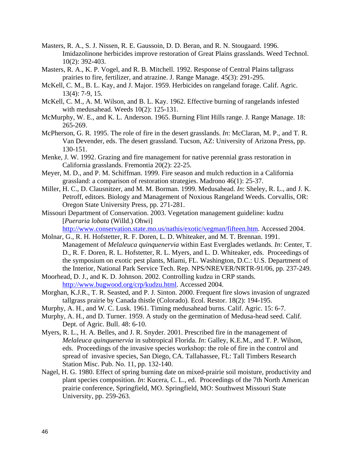- Masters, R. A., S. J. Nissen, R. E. Gaussoin, D. D. Beran, and R. N. Stougaard. 1996. Imidazolinone herbicides improve restoration of Great Plains grasslands. Weed Technol. 10(2): 392-403.
- Masters, R. A., K. P. Vogel, and R. B. Mitchell. 1992. Response of Central Plains tallgrass prairies to fire, fertilizer, and atrazine. J. Range Manage. 45(3): 291-295.
- McKell, C. M., B. L. Kay, and J. Major. 1959. Herbicides on rangeland forage. Calif. Agric. 13(4): 7-9, 15.
- McKell, C. M., A. M. Wilson, and B. L. Kay. 1962. Effective burning of rangelands infested with medusahead. Weeds 10(2): 125-131.
- McMurphy, W. E., and K. L. Anderson. 1965. Burning Flint Hills range. J. Range Manage. 18: 265-269.
- McPherson, G. R. 1995. The role of fire in the desert grasslands. *In*: McClaran, M. P., and T. R. Van Devender, eds. The desert grassland. Tucson, AZ: University of Arizona Press, pp. 130-151.
- Menke, J. W. 1992. Grazing and fire management for native perennial grass restoration in California grasslands. Fremontia 20(2): 22-25.
- Meyer, M. D., and P. M. Schiffman. 1999. Fire season and mulch reduction in a California grassland: a comparison of restoration strategies. Madrono 46(1): 25-37.
- Miller, H. C., D. Clausnitzer, and M. M. Borman. 1999. Medusahead. *In*: Sheley, R. L., and J. K. Petroff, editors. Biology and Management of Noxious Rangeland Weeds. Corvallis, OR: Oregon State University Press, pp. 271-281.
- Missouri Department of Conservation. 2003. Vegetation management guideline: kudzu [*Pueraria lobata* (Willd.) Ohwi]

<http://www.conservation.state.mo.us/nathis/exotic/vegman/fifteen.htm>. Accessed 2004.

- Molnar, G., R. H. Hofstetter, R. F. Doren, L. D. Whiteaker, and M. T. Brennan. 1991. Management of *Melaleuca quinquenervia* within East Everglades wetlands. *In*: Center, T. D., R. F. Doren, R. L. Hofstetter, R. L. Myers, and L. D. Whiteaker, eds. Proceedings of the symposium on exotic pest plants, Miami, FL. Washington, D.C.: U.S. Department of the Interior, National Park Service Tech. Rep. NPS/NREVER/NRTR-91/06, pp. 237-249.
- Moorhead, D. J., and K. D. Johnson. 2002. Controlling kudzu in CRP stands. [http://www.bugwood.org/crp/kudzu.html.](http://www.bugwood.org/crp/kudzu.html) Accessed 2004.
- Morghan, K.J.R., T. R. Seasted, and P. J. Sinton. 2000. Frequent fire slows invasion of ungrazed tallgrass prairie by Canada thistle (Colorado). Ecol. Restor. 18(2): 194-195.
- Murphy, A. H., and W. C. Lusk. 1961. Timing medusahead burns. Calif. Agric. 15: 6-7.
- Murphy, A. H., and D. Turner. 1959. A study on the germination of Medusa-head seed. Calif. Dept. of Agric. Bull. 48: 6-10.
- Myers, R. L., H. A. Belles, and J. R. Snyder. 2001. Prescribed fire in the management of *Melaleuca quinquenervia* in subtropical Florida. *In*: Galley, K.E.M., and T. P. Wilson, eds. Proceedings of the invasive species workshop: the role of fire in the control and spread of invasive species, San Diego, CA. Tallahassee, FL: Tall Timbers Research Station Misc. Pub. No. 11, pp. 132-140.
- Nagel, H. G. 1980. Effect of spring burning date on mixed-prairie soil moisture, productivity and plant species composition. *In*: Kucera, C. L., ed. Proceedings of the 7th North American prairie conference, Springfield, MO. Springfield, MO: Southwest Missouri State University, pp. 259-263.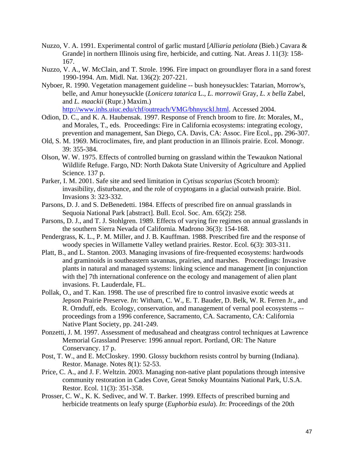- Nuzzo, V. A. 1991. Experimental control of garlic mustard [*Alliaria petiolata* (Bieb.) Cavara & Grande] in northern Illinois using fire, herbicide, and cutting. Nat. Areas J. 11(3): 158- 167.
- Nuzzo, V. A., W. McClain, and T. Strole. 1996. Fire impact on groundlayer flora in a sand forest 1990-1994. Am. Midl. Nat. 136(2): 207-221.
- Nyboer, R. 1990. Vegetation management guideline -- bush honeysuckles: Tatarian, Morrow's, belle, and Amur honeysuckle (*Lonicera tatarica* L., *L. morrowii* Gray, *L. x bella* Zabel, and *L. maackii* (Rupr.) Maxim.)

<http://www.inhs.uiuc.edu/chf/outreach/VMG/bhnysckl.html>. Accessed 2004.

- Odion, D. C., and K. A. Haubensak. 1997. Response of French broom to fire. *In*: Morales, M., and Morales, T., eds. Proceedings: Fire in California ecosystems: integrating ecology, prevention and management, San Diego, CA. Davis, CA: Assoc. Fire Ecol., pp. 296-307.
- Old, S. M. 1969. Microclimates, fire, and plant production in an Illinois prairie. Ecol. Monogr. 39: 355-384.
- Olson, W. W. 1975. Effects of controlled burning on grassland within the Tewaukon National Wildlife Refuge. Fargo, ND: North Dakota State University of Agriculture and Applied Science. 137 p.
- Parker, I. M. 2001. Safe site and seed limitation in *Cytisus scoparius* (Scotch broom): invasibility, disturbance, and the role of cryptogams in a glacial outwash prairie. Biol. Invasions 3: 323-332.
- Parsons, D. J. and S. DeBenedetti. 1984. Effects of prescribed fire on annual grasslands in Sequoia National Park [abstract]. Bull. Ecol. Soc. Am. 65(2): 258.
- Parsons, D. J., and T. J. Stohlgren. 1989. Effects of varying fire regimes on annual grasslands in the southern Sierra Nevada of California. Madrono 36(3): 154-168.
- Pendergrass, K. L., P. M. Miller, and J. B. Kauffman. 1988. Prescribed fire and the response of woody species in Willamette Valley wetland prairies. Restor. Ecol. 6(3): 303-311.
- Platt, B., and L. Stanton. 2003. Managing invasions of fire-frequented ecosystems: hardwoods and graminoids in southeastern savannas, prairies, and marshes. Proceedings: Invasive plants in natural and managed systems: linking science and management [in conjunction with the] 7th international conference on the ecology and management of alien plant invasions. Ft. Lauderdale, FL.
- Pollak, O., and T. Kan. 1998. The use of prescribed fire to control invasive exotic weeds at Jepson Prairie Preserve. *In*: Witham, C. W., E. T. Bauder, D. Belk, W. R. Ferren Jr., and R. Ornduff, eds. Ecology, conservation, and management of vernal pool ecosystems - proceedings from a 1996 conference, Sacramento, CA. Sacramento, CA: California Native Plant Society, pp. 241-249.
- Ponzetti, J. M. 1997. Assessment of medusahead and cheatgrass control techniques at Lawrence Memorial Grassland Preserve: 1996 annual report. Portland, OR: The Nature Conservancy. 17 p.
- Post, T. W., and E. McCloskey. 1990. Glossy buckthorn resists control by burning (Indiana). Restor. Manage. Notes 8(1): 52-53.
- Price, C. A., and J. F. Weltzin. 2003. Managing non-native plant populations through intensive community restoration in Cades Cove, Great Smoky Mountains National Park, U.S.A. Restor. Ecol. 11(3): 351-358.
- Prosser, C. W., K. K. Sedivec, and W. T. Barker. 1999. Effects of prescribed burning and herbicide treatments on leafy spurge (*Euphorbia esula*). *In*: Proceedings of the 20th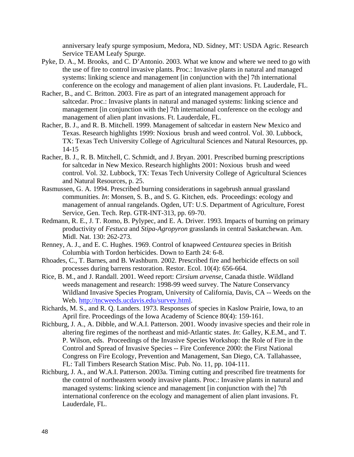anniversary leafy spurge symposium, Medora, ND. Sidney, MT: USDA Agric. Research Service TEAM Leafy Spurge.

- Pyke, D. A., M. Brooks, and C. D'Antonio. 2003. What we know and where we need to go with the use of fire to control invasive plants. Proc.: Invasive plants in natural and managed systems: linking science and management [in conjunction with the] 7th international conference on the ecology and management of alien plant invasions. Ft. Lauderdale, FL.
- Racher, B., and C. Britton. 2003. Fire as part of an integrated management approach for saltcedar. Proc.: Invasive plants in natural and managed systems: linking science and management [in conjunction with the] 7th international conference on the ecology and management of alien plant invasions. Ft. Lauderdale, FL.
- Racher, B. J., and R. B. Mitchell. 1999. Management of saltcedar in eastern New Mexico and Texas. Research highlights 1999: Noxious brush and weed control. Vol. 30. Lubbock, TX: Texas Tech University College of Agricultural Sciences and Natural Resources, pp. 14-15
- Racher, B. J., R. B. Mitchell, C. Schmidt, and J. Bryan. 2001. Prescribed burning prescriptions for saltcedar in New Mexico. Research highlights 2001: Noxious brush and weed control. Vol. 32. Lubbock, TX: Texas Tech University College of Agricultural Sciences and Natural Resources, p. 25.
- Rasmussen, G. A. 1994. Prescribed burning considerations in sagebrush annual grassland communities. *In*: Monsen, S. B., and S. G. Kitchen, eds. Proceedings: ecology and management of annual rangelands. Ogden, UT: U.S. Department of Agriculture, Forest Service, Gen. Tech. Rep. GTR-INT-313, pp. 69-70.
- Redmann, R. E., J. T. Romo, B. Pylypec, and E. A. Driver. 1993. Impacts of burning on primary productivity of *Festuca* and *Stipa-Agropyron* grasslands in central Saskatchewan. Am. Midl. Nat. 130: 262-273.
- Renney, A. J., and E. C. Hughes. 1969. Control of knapweed *Centaurea* species in British Columbia with Tordon herbicides. Down to Earth 24: 6-8.
- Rhoades, C., T. Barnes, and B. Washburn. 2002. Prescribed fire and herbicide effects on soil processes during barrens restoration. Restor. Ecol. 10(4): 656-664.
- Rice, B. M., and J. Randall. 2001. Weed report: *Cirsium arvense*, Canada thistle. Wildland weeds management and research: 1998-99 weed survey. The Nature Conservancy Wildland Invasive Species Program, University of California, Davis, CA -- Weeds on the Web. <http://tncweeds.ucdavis.edu/survey.html>.
- Richards, M. S., and R. Q. Landers. 1973. Responses of species in Kaslow Prairie, Iowa, to an April fire. Proceedings of the Iowa Academy of Science 80(4): 159-161.
- Richburg, J. A., A. Dibble, and W.A.I. Patterson. 2001. Woody invasive species and their role in altering fire regimes of the northeast and mid-Atlantic states. *In*: Galley, K.E.M., and T. P. Wilson, eds. Proceedings of the Invasive Species Workshop: the Role of Fire in the Control and Spread of Invasive Species -- Fire Conference 2000: the First National Congress on Fire Ecology, Prevention and Management, San Diego, CA. Tallahassee, FL: Tall Timbers Research Station Misc. Pub. No. 11, pp. 104-111.
- Richburg, J. A., and W.A.I. Patterson. 2003a. Timing cutting and prescribed fire treatments for the control of northeastern woody invasive plants. Proc.: Invasive plants in natural and managed systems: linking science and management [in conjunction with the] 7th international conference on the ecology and management of alien plant invasions. Ft. Lauderdale, FL.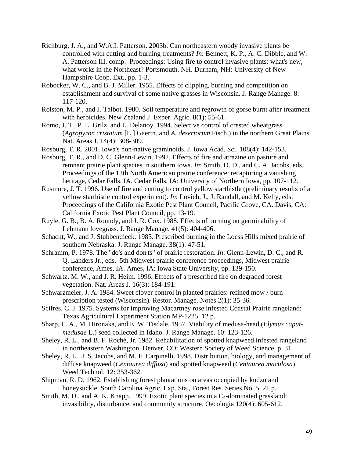- Richburg, J. A., and W.A.I. Patterson. 2003b. Can northeastern woody invasive plants be controlled with cutting and burning treatments? *In*: Bennett, K. P., A. C. Dibble, and W. A. Patterson III, comp. Proceedings: Using fire to control invasive plants: what's new, what works in the Northeast? Portsmouth, NH. Durham, NH: University of New Hampshire Coop. Ext., pp. 1-3.
- Robocker, W. C., and B. J. Miller. 1955. Effects of clipping, burning and competition on establishment and survival of some native grasses in Wisconsin. J. Range Manage. 8: 117-120.
- Rolston, M. P., and J. Talbot. 1980. Soil temperature and regrowth of gorse burnt after treatment with herbicides. New Zealand J. Exper. Agric. 8(1): 55-61.
- Romo, J. T., P. L. Grilz, and L. Delanoy. 1994. Selective control of crested wheatgrass (*Agropyron cristatum* [L.] Gaertn. and *A. desertorum* Fisch.) in the northern Great Plains. Nat. Areas J. 14(4): 308-309.
- Rosburg, T. R. 2001. Iowa's non-native graminoids. J. Iowa Acad. Sci. 108(4): 142-153.
- Rosburg, T. R., and D. C. Glenn-Lewin. 1992. Effects of fire and atrazine on pasture and remnant prairie plant species in southern Iowa. *In*: Smith, D. D., and C. A. Jacobs, eds. Proceedings of the 12th North American prairie conference: recapturing a vanishing heritage, Cedar Falls, IA. Cedar Falls, IA: University of Northern Iowa, pp. 107-112.
- Rusmore, J. T. 1996. Use of fire and cutting to control yellow starthistle (preliminary results of a yellow starthistle control experiment). *In*: Lovich, J., J. Randall, and M. Kelly, eds. Proceedings of the California Exotic Pest Plant Council, Pacific Grove, CA. Davis, CA: California Exotic Pest Plant Council, pp. 13-19.
- Ruyle, G. B., B. A. Roundy, and J. R. Cox. 1988. Effects of burning on germinability of Lehmann lovegrass. J. Range Manage. 41(5): 404-406.
- Schacht, W., and J. Stubbendieck. 1985. Prescribed burning in the Loess Hills mixed prairie of southern Nebraska. J. Range Manage. 38(1): 47-51.
- Schramm, P. 1978. The "do's and don'ts" of prairie restoration. *In*: Glenn-Lewin, D. C., and R. Q. Landers Jr., eds. 5th Midwest prairie conference proceedings, Midwest prairie conference, Ames, IA. Ames, IA: Iowa State University, pp. 139-150.
- Schwartz, M. W., and J. R. Heim. 1996. Effects of a prescribed fire on degraded forest vegetation. Nat. Areas J. 16(3): 184-191.
- Schwarzmeier, J. A. 1984. Sweet clover control in planted prairies: refined mow / burn prescription tested (Wisconsin). Restor. Manage. Notes 2(1): 35-36.
- Scifres, C. J. 1975. Systems for improving Macartney rose infested Coastal Prairie rangeland: Texas Agricultural Experiment Station MP-1225. 12 p.
- Sharp, L. A., M. Hironaka, and E. W. Tisdale. 1957. Viability of medusa-head (*Elymus caputmedusae* L.) seed collected in Idaho. J. Range Manage. 10: 123-126.
- Sheley, R. L., and B. F. Roché, Jr. 1982. Rehabilitation of spotted knapweed infested rangeland in northeastern Washington. Denver, CO: Western Society of Weed Science, p. 31.
- Sheley, R. L., J. S. Jacobs, and M. F. Carpinelli. 1998. Distribution, biology, and management of diffuse knapweed (*Centaurea diffusa*) and spotted knapweed (*Centaurea maculosa*). Weed Technol. 12: 353-362.
- Shipman, R. D. 1962. Establishing forest plantations on areas occupied by kudzu and honeysuckle. South Carolina Agric. Exp. Sta., Forest Res. Series No. 5. 21 p.
- Smith, M. D., and A. K. Knapp. 1999. Exotic plant species in a  $C_4$ -dominated grassland: invasibility, disturbance, and community structure. Oecologia 120(4): 605-612.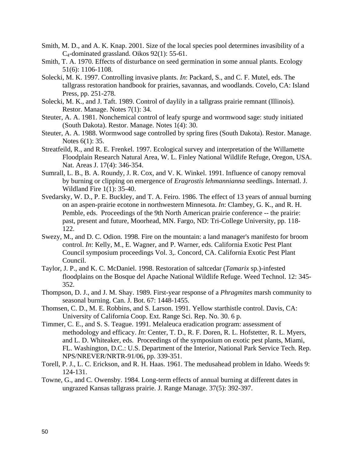- Smith, M. D., and A. K. Knap. 2001. Size of the local species pool determines invasibility of a C4-dominated grassland. Oikos 92(1): 55-61.
- Smith, T. A. 1970. Effects of disturbance on seed germination in some annual plants. Ecology 51(6): 1106-1108.
- Solecki, M. K. 1997. Controlling invasive plants. *In*: Packard, S., and C. F. Mutel, eds. The tallgrass restoration handbook for prairies, savannas, and woodlands. Covelo, CA: Island Press, pp. 251-278.
- Solecki, M. K., and J. Taft. 1989. Control of daylily in a tallgrass prairie remnant (Illinois). Restor. Manage. Notes 7(1): 34.
- Steuter, A. A. 1981. Nonchemical control of leafy spurge and wormwood sage: study initiated (South Dakota). Restor. Manage. Notes 1(4): 30.
- Steuter, A. A. 1988. Wormwood sage controlled by spring fires (South Dakota). Restor. Manage. Notes 6(1): 35.
- Streatfeild, R., and R. E. Frenkel. 1997. Ecological survey and interpretation of the Willamette Floodplain Research Natural Area, W. L. Finley National Wildlife Refuge, Oregon, USA. Nat. Areas J. 17(4): 346-354.
- Sumrall, L. B., B. A. Roundy, J. R. Cox, and V. K. Winkel. 1991. Influence of canopy removal by burning or clipping on emergence of *Eragrostis lehmannianna* seedlings. Internatl. J. Wildland Fire 1(1): 35-40.
- Svedarsky, W. D., P. E. Buckley, and T. A. Feiro. 1986. The effect of 13 years of annual burning on an aspen-prairie ecotone in northwestern Minnesota. *In*: Clambey, G. K., and R. H. Pemble, eds. Proceedings of the 9th North American prairie conference -- the prairie: past, present and future, Moorhead, MN. Fargo, ND: Tri-College University, pp. 118- 122.
- Swezy, M., and D. C. Odion. 1998. Fire on the mountain: a land manager's manifesto for broom control. *In*: Kelly, M., E. Wagner, and P. Warner, eds. California Exotic Pest Plant Council symposium proceedings Vol. 3,. Concord, CA. California Exotic Pest Plant Council.
- Taylor, J. P., and K. C. McDaniel. 1998. Restoration of saltcedar (*Tamarix* sp.)-infested floodplains on the Bosque del Apache National Wildlife Refuge. Weed Technol. 12: 345- 352.
- Thompson, D. J., and J. M. Shay. 1989. First-year response of a *Phragmites* marsh community to seasonal burning. Can. J. Bot. 67: 1448-1455.
- Thomsen, C. D., M. E. Robbins, and S. Larson. 1991. Yellow starthistle control. Davis, CA: University of California Coop. Ext. Range Sci. Rep. No. 30. 6 p.
- Timmer, C. E., and S. S. Teague. 1991. Melaleuca eradication program: assessment of methodology and efficacy. *In*: Center, T. D., R. F. Doren, R. L. Hofstetter, R. L. Myers, and L. D. Whiteaker, eds. Proceedings of the symposium on exotic pest plants, Miami, FL. Washington, D.C.: U.S. Department of the Interior, National Park Service Tech. Rep. NPS/NREVER/NRTR-91/06, pp. 339-351.
- Torell, P. J., L. C. Erickson, and R. H. Haas. 1961. The medusahead problem in Idaho. Weeds 9: 124-131.
- Towne, G., and C. Owensby. 1984. Long-term effects of annual burning at different dates in ungrazed Kansas tallgrass prairie. J. Range Manage. 37(5): 392-397.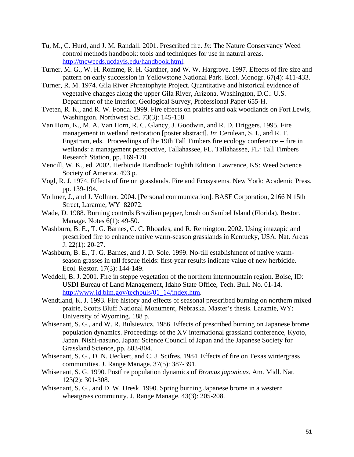- Tu, M., C. Hurd, and J. M. Randall. 2001. Prescribed fire. *In*: The Nature Conservancy Weed control methods handbook: tools and techniques for use in natural areas. [http://tncweeds.ucdavis.edu/handbook.html.](http://tncweeds.ucdavis.edu/handbook.html)
- Turner, M. G., W. H. Romme, R. H. Gardner, and W. W. Hargrove. 1997. Effects of fire size and pattern on early succession in Yellowstone National Park. Ecol. Monogr. 67(4): 411-433.
- Turner, R. M. 1974. Gila River Phreatophyte Project. Quantitative and historical evidence of vegetative changes along the upper Gila River, Arizona. Washington, D.C.: U.S. Department of the Interior, Geological Survey, Professional Paper 655-H.
- Tveten, R. K., and R. W. Fonda. 1999. Fire effects on prairies and oak woodlands on Fort Lewis, Washington. Northwest Sci. 73(3): 145-158.
- Van Horn, K., M. A. Van Horn, R. C. Glancy, J. Goodwin, and R. D. Driggers. 1995. Fire management in wetland restoration [poster abstract]. *In*: Cerulean, S. I., and R. T. Engstrom, eds. Proceedings of the 19th Tall Timbers fire ecology conference -- fire in wetlands: a management perspective, Tallahassee, FL. Tallahassee, FL: Tall Timbers Research Station, pp. 169-170.
- Vencill, W. K., ed. 2002. Herbicide Handbook: Eighth Edition. Lawrence, KS: Weed Science Society of America. 493 p.
- Vogl, R. J. 1974. Effects of fire on grasslands. Fire and Ecosystems. New York: Academic Press, pp. 139-194.
- Vollmer, J., and J. Vollmer. 2004. [Personal communication]. BASF Corporation, 2166 N 15th Street, Laramie, WY 82072.
- Wade, D. 1988. Burning controls Brazilian pepper, brush on Sanibel Island (Florida). Restor. Manage. Notes 6(1): 49-50.
- Washburn, B. E., T. G. Barnes, C. C. Rhoades, and R. Remington. 2002. Using imazapic and prescribed fire to enhance native warm-season grasslands in Kentucky, USA. Nat. Areas J. 22(1): 20-27.
- Washburn, B. E., T. G. Barnes, and J. D. Sole. 1999. No-till establishment of native warmseason grasses in tall fescue fields: first-year results indicate value of new herbicide. Ecol. Restor. 17(3): 144-149.
- Weddell, B. J. 2001. Fire in steppe vegetation of the northern intermountain region. Boise, ID: USDI Bureau of Land Management, Idaho State Office, Tech. Bull. No. 01-14. [http://www.id.blm.gov/techbuls/01\\_14/index.htm.](http://www.id.blm.gov/techbuls/01_14/index.htm)
- Wendtland, K. J. 1993. Fire history and effects of seasonal prescribed burning on northern mixed prairie, Scotts Bluff National Monument, Nebraska. Master's thesis. Laramie, WY: University of Wyoming. 188 p.
- Whisenant, S. G., and W. R. Bulsiewicz. 1986. Effects of prescribed burning on Japanese brome population dynamics. Proceedings of the XV international grassland conference, Kyoto, Japan. Nishi-nasuno, Japan: Science Council of Japan and the Japanese Society for Grassland Science, pp. 803-804.
- Whisenant, S. G., D. N. Ueckert, and C. J. Scifres. 1984. Effects of fire on Texas wintergrass communities. J. Range Manage. 37(5): 387-391.
- Whisenant, S. G. 1990. Postfire population dynamics of *Bromus japonicus*. Am. Midl. Nat. 123(2): 301-308.
- Whisenant, S. G., and D. W. Uresk. 1990. Spring burning Japanese brome in a western wheatgrass community. J. Range Manage. 43(3): 205-208.